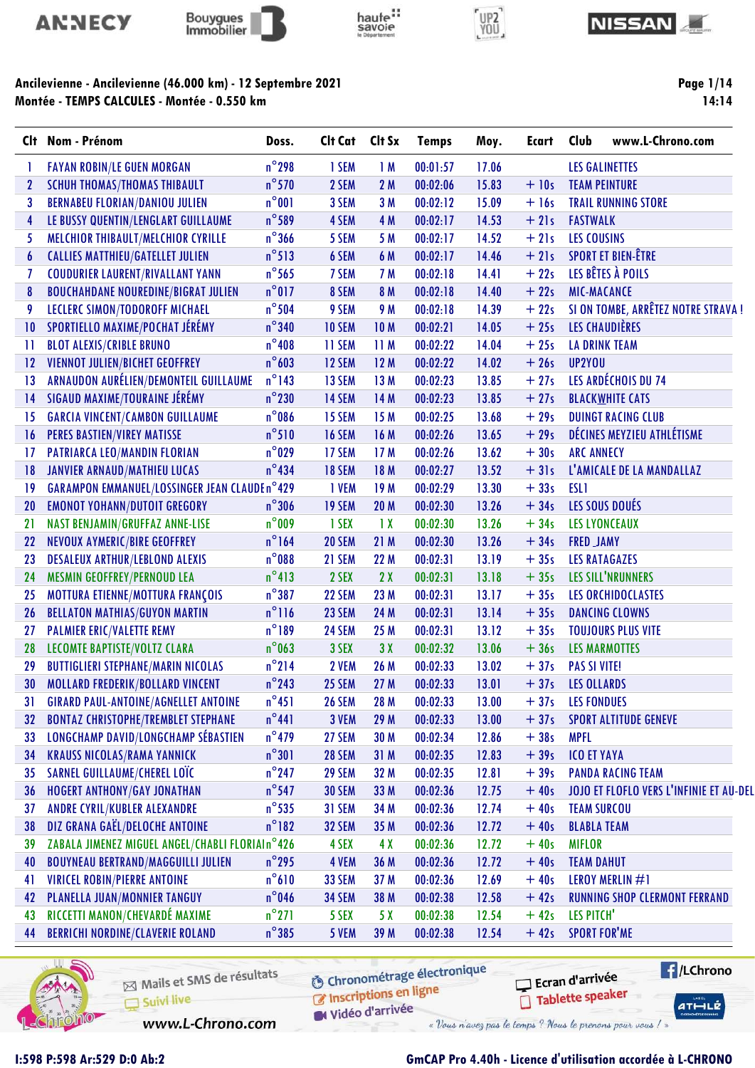









Page 1/14 14:14

| Clt –           | Nom - Prénom                                        | Doss.           | Clt Cat       | Clt Sx          | <b>Temps</b> | Moy.  | <b>Ecart</b> | Club<br>www.L-Chrono.com                |
|-----------------|-----------------------------------------------------|-----------------|---------------|-----------------|--------------|-------|--------------|-----------------------------------------|
|                 | <b>FAYAN ROBIN/LE GUEN MORGAN</b>                   | $n^{\circ}$ 298 | 1 SEM         | 1M              | 00:01:57     | 17.06 |              | <b>LES GALINETTES</b>                   |
| $\mathbf{2}$    | <b>SCHUH THOMAS/THOMAS THIBAULT</b>                 | $n^{\circ}$ 570 | 2 SEM         | 2M              | 00:02:06     | 15.83 | $+10s$       | <b>TEAM PEINTURE</b>                    |
| 3               | <b>BERNABEU FLORIAN/DANIOU JULIEN</b>               | $n^{\circ}001$  | 3 SEM         | 3 M             | 00:02:12     | 15.09 | $+16s$       | <b>TRAIL RUNNING STORE</b>              |
| 4               | LE BUSSY QUENTIN/LENGLART GUILLAUME                 | $n^{\circ}$ 589 | 4 SEM         | 4 M             | 00:02:17     | 14.53 | $+21s$       | <b>FASTWALK</b>                         |
| 5               | MELCHIOR THIBAULT/MELCHIOR CYRILLE                  | $n^{\circ}$ 366 | 5 SEM         | 5 M             | 00:02:17     | 14.52 | $+21s$       | <b>LES COUSINS</b>                      |
| 6               | <b>CALLIES MATTHIEU/GATELLET JULIEN</b>             | $n^{\circ}513$  | 6 SEM         | 6 M             | 00:02:17     | 14.46 | $+21s$       | <b>SPORT ET BIEN-ÊTRE</b>               |
| 7               | <b>COUDURIER LAURENT/RIVALLANT YANN</b>             | $n^{\circ}$ 565 | 7 SEM         | 7 M             | 00:02:18     | 14.41 | $+22s$       | LES BÊTES À POILS                       |
| 8               | <b>BOUCHAHDANE NOUREDINE/BIGRAT JULIEN</b>          | $n^{\circ}017$  | 8 SEM         | 8 M             | 00:02:18     | 14.40 | $+22s$       | <b>MIC-MACANCE</b>                      |
| 9               | LECLERC SIMON/TODOROFF MICHAEL                      | $n^{\circ}$ 504 | 9 SEM         | 9 M             | 00:02:18     | 14.39 | $+22s$       | SI ON TOMBE, ARRÊTEZ NOTRE STRAVA !     |
| $\overline{10}$ | SPORTIELLO MAXIME/POCHAT JÉRÉMY                     | $n^{\circ}$ 340 | <b>10 SEM</b> | <b>10M</b>      | 00:02:21     | 14.05 | $+25s$       | LES CHAUDIÈRES                          |
| $\mathbf{1}$    | <b>BLOT ALEXIS/CRIBLE BRUNO</b>                     | $n^{\circ}408$  | 11 SEM        | 11 M            | 00:02:22     | 14.04 | $+25s$       | <b>LA DRINK TEAM</b>                    |
| 12              | VIENNOT JULIEN/BICHET GEOFFREY                      | $n^{\circ}603$  | 12 SEM        | 12M             | 00:02:22     | 14.02 | $+26s$       | UP2YOU                                  |
| 13              | ARNAUDON AURÉLIEN/DEMONTEIL GUILLAUME               | $n^{\circ}$ 143 | 13 SEM        | 13 M            | 00:02:23     | 13.85 | $+27s$       | LES ARDÉCHOIS DU 74                     |
| 14              | SIGAUD MAXIME/TOURAINE JÉRÉMY                       | $n^{\circ}$ 230 | 14 SEM        | 14 M            | 00:02:23     | 13.85 | $+27s$       | <b>BLACKWHITE CATS</b>                  |
| 15              | <b>GARCIA VINCENT/CAMBON GUILLAUME</b>              | $n^{\circ}$ 086 | 15 SEM        | 15 M            | 00:02:25     | 13.68 | $+29s$       | <b>DUINGT RACING CLUB</b>               |
| 16              | <b>PERES BASTIEN/VIREY MATISSE</b>                  | $n^{\circ}510$  | 16 SEM        | 16 M            | 00:02:26     | 13.65 | $+29s$       | DÉCINES MEYZIEU ATHLÉTISME              |
| 17              | PATRIARCA LEO/MANDIN FLORIAN                        | $n^{\circ}$ 029 | 17 SEM        | 17 M            | 00:02:26     | 13.62 | $+30s$       | <b>ARC ANNECY</b>                       |
| 18              | <b>JANVIER ARNAUD/MATHIEU LUCAS</b>                 | $n^{\circ}434$  | 18 SEM        | 18 M            | 00:02:27     | 13.52 | $+31s$       | L'AMICALE DE LA MANDALLAZ               |
| 19              | <b>GARAMPON EMMANUEL/LOSSINGER JEAN CLAUDEn°429</b> |                 | 1 VEM         | 19M             | 00:02:29     | 13.30 | $+33s$       | <b>ESL1</b>                             |
| 20              | <b>EMONOT YOHANN/DUTOIT GREGORY</b>                 | $n^{\circ}306$  | <b>19 SEM</b> | <b>20 M</b>     | 00:02:30     | 13.26 | $+34s$       | LES SOUS DOUÉS                          |
| 21              | NAST BENJAMIN/GRUFFAZ ANNE-LISE                     | $n^{\circ}$ 009 | 1 SEX         | $\overline{1}x$ | 00:02:30     | 13.26 | $+34s$       | <b>LES LYONCEAUX</b>                    |
| 22              | NEVOUX AYMERIC/BIRE GEOFFREY                        | $n^{\circ}$ 164 | 20 SEM        | 21 M            | 00:02:30     | 13.26 | $+34s$       | <b>FRED JAMY</b>                        |
| 23              | <b>DESALEUX ARTHUR/LEBLOND ALEXIS</b>               | $n^{\circ}088$  | 21 SEM        | 22 M            | 00:02:31     | 13.19 | $+35s$       | <b>LES RATAGAZES</b>                    |
| 24              | MESMIN GEOFFREY/PERNOUD LEA                         | $n^{\circ}413$  | 2 SEX         | 2X              | 00:02:31     | 13.18 | $+35s$       | LES SILL'NRUNNERS                       |
| 25              | MOTTURA ETIENNE/MOTTURA FRANÇOIS                    | $n^{\circ}387$  | 22 SEM        | 23 M            | 00:02:31     | 13.17 | $+35s$       | LES ORCHIDOCLASTES                      |
| 26              | <b>BELLATON MATHIAS/GUYON MARTIN</b>                | $n^{\circ}$ 116 | 23 SEM        | 24 M            | 00:02:31     | 13.14 | $+35s$       | <b>DANCING CLOWNS</b>                   |
| 27              | <b>PALMIER ERIC/VALETTE REMY</b>                    | $n^{\circ}189$  | 24 SEM        | 25 M            | 00:02:31     | 13.12 | $+35s$       | <b>TOUJOURS PLUS VITE</b>               |
| 28              | LECOMTE BAPTISTE/VOLTZ CLARA                        | $n^{\circ}$ 063 | 3 SEX         | 3X              | 00:02:32     | 13.06 | $+36s$       | <b>LES MARMOTTES</b>                    |
| 29              | <b>BUTTIGLIERI STEPHANE/MARIN NICOLAS</b>           | $n^{\circ}$ 214 | 2 VEM         | 26 M            | 00:02:33     | 13.02 | $+37s$       | <b>PAS SI VITE!</b>                     |
| 30              | MOLLARD FREDERIK/BOLLARD VINCENT                    | $n^{\circ}$ 243 | 25 SEM        | 27 M            | 00:02:33     | 13.01 | $+37s$       | <b>LES OLLARDS</b>                      |
| 31              | <b>GIRARD PAUL-ANTOINE/AGNELLET ANTOINE</b>         | $n^{\circ}451$  | <b>26 SEM</b> | 28 M            | 00:02:33     | 13.00 | $+37s$       | <b>LES FONDUES</b>                      |
| 32              | <b>BONTAZ CHRISTOPHE/TREMBLET STEPHANE</b>          | $n^{\circ}441$  | 3 VEM         | 29 M            | 00:02:33     | 13.00 | $+37s$       | <b>SPORT ALTITUDE GENEVE</b>            |
| 33              | LONGCHAMP DAVID/LONGCHAMP SÉBASTIEN                 | $n^{\circ}$ 479 | 27 SEM        | 30 M            | 00:02:34     | 12.86 | $+38s$       | <b>MPFL</b>                             |
| 34              | <b>KRAUSS NICOLAS/RAMA YANNICK</b>                  | $n^{\circ}301$  | <b>28 SEM</b> | 31M             | 00:02:35     | 12.83 | $+39s$       | <b>ICO ET YAYA</b>                      |
| 35              | SARNEL GUILLAUME/CHEREL LOÏC                        | $n^{\circ}$ 247 | 29 SEM        | 32 M            | 00:02:35     | 12.81 | $+39s$       | <b>PANDA RACING TEAM</b>                |
| 36              | <b>HOGERT ANTHONY/GAY JONATHAN</b>                  | $n^{\circ}$ 547 | <b>30 SEM</b> | 33 M            | 00:02:36     | 12.75 | $+40s$       | JOJO ET FLOFLO VERS L'INFINIE ET AU-DEL |
| 37              | ANDRE CYRIL/KUBLER ALEXANDRE                        | $n^{\circ}$ 535 | 31 SEM        | 34 M            | 00:02:36     | 12.74 | $+40s$       | <b>TEAM SURCOU</b>                      |
| 38              | DIZ GRANA GAËL/DELOCHE ANTOINE                      | $n^{\circ}182$  | <b>32 SEM</b> | 35 M            | 00:02:36     | 12.72 | $+40s$       | <b>BLABLA TEAM</b>                      |
| 39              | ZABALA JIMENEZ MIGUEL ANGEL/CHABLI FLORIAIn°426     |                 | 4 SEX         | 4 X             | 00:02:36     | 12.72 | $+40s$       | <b>MIFLOR</b>                           |
| 40              | <b>BOUYNEAU BERTRAND/MAGGUILLI JULIEN</b>           | $n^{\circ}$ 295 | 4 VEM         | 36 M            | 00:02:36     | 12.72 | $+40s$       | <b>TEAM DAHUT</b>                       |
| 41              | <b>VIRICEL ROBIN/PIERRE ANTOINE</b>                 | $n^{\circ}610$  | <b>33 SEM</b> | 37 M            | 00:02:36     | 12.69 | $+40s$       | LEROY MERLIN #1                         |
| 42              | PLANELLA JUAN/MONNIER TANGUY                        | $n^{\circ}$ 046 | <b>34 SEM</b> | 38 M            | 00:02:38     | 12.58 | $+42s$       | <b>RUNNING SHOP CLERMONT FERRAND</b>    |
| 43              | RICCETTI MANON/CHEVARDÉ MAXIME                      | $n^{\circ}271$  | 5 SEX         | 5 X             | 00:02:38     | 12.54 | $+42s$       | LES PITCH'                              |
| 44              | <b>BERRICHI NORDINE/CLAVERIE ROLAND</b>             | $n^{\circ}385$  | 5 VEM         | 39 M            | 00:02:38     | 12.54 | $+42s$       | <b>SPORT FOR'ME</b>                     |
|                 |                                                     |                 |               |                 |              |       |              |                                         |



Mails et SMS de résultats Suivi live

**6** Chronométrage électronique

**E** /LChrono Ecran d'arrivée Tablette speaker

 $ATHLLE$ 

C Inscriptions en ligne Vidéo d'arrivée

www.L-Chrono.com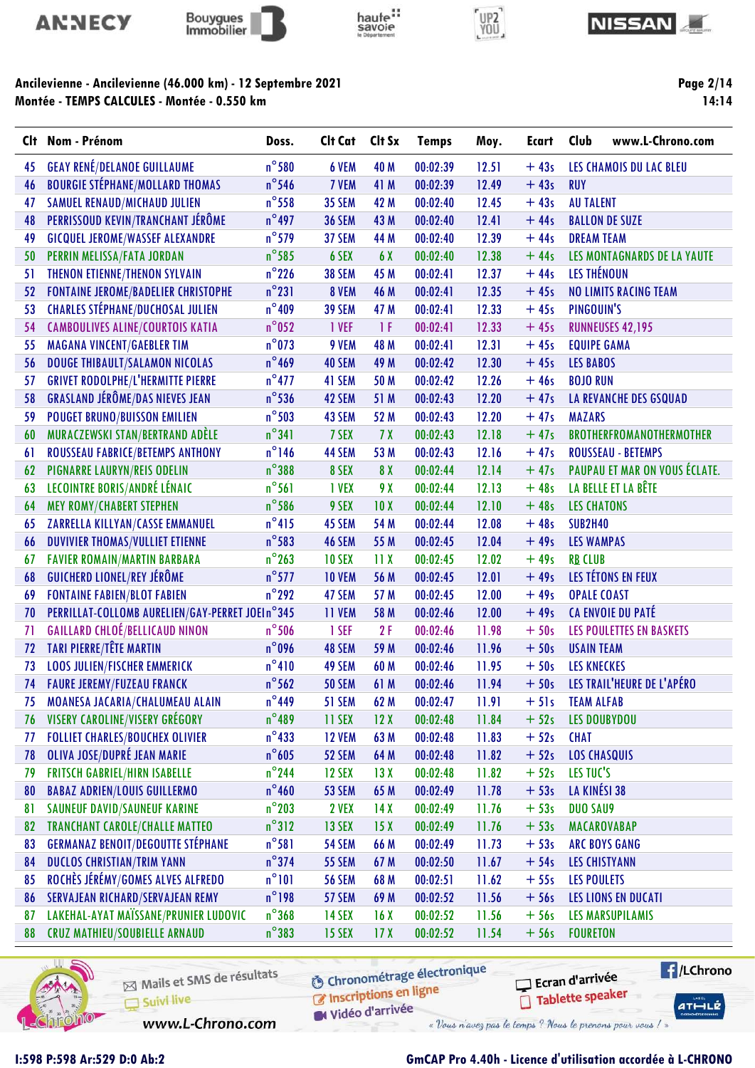









Page 2/14 14:14

|    | Clt Nom - Prénom                                | Doss.           | Clt Cat       | Clt Sx          | <b>Temps</b> | Moy.  | <b>Ecart</b> | Club                 | www.L-Chrono.com                |
|----|-------------------------------------------------|-----------------|---------------|-----------------|--------------|-------|--------------|----------------------|---------------------------------|
| 45 | <b>GEAY RENÉ/DELANOE GUILLAUME</b>              | $n^{\circ}$ 580 | 6 VEM         | 40 M            | 00:02:39     | 12.51 | $+43s$       |                      | LES CHAMOIS DU LAC BLEU         |
| 46 | <b>BOURGIE STÉPHANE/MOLLARD THOMAS</b>          | $n^{\circ}$ 546 | 7 VEM         | 41 M            | 00:02:39     | 12.49 | $+43s$       | <b>RUY</b>           |                                 |
| 47 | SAMUEL RENAUD/MICHAUD JULIEN                    | $n^{\circ}$ 558 | <b>35 SEM</b> | 42 M            | 00:02:40     | 12.45 | $+43s$       | <b>AU TALENT</b>     |                                 |
| 48 | PERRISSOUD KEVIN/TRANCHANT JÉRÔME               | $n^{\circ}$ 497 | <b>36 SEM</b> | 43 M            | 00:02:40     | 12.41 | $+44s$       |                      | <b>BALLON DE SUZE</b>           |
| 49 | <b>GICQUEL JEROME/WASSEF ALEXANDRE</b>          | $n^{\circ}$ 579 | 37 SEM        | 44 M            | 00:02:40     | 12.39 | $+44s$       | <b>DREAM TEAM</b>    |                                 |
| 50 | PERRIN MELISSA/FATA JORDAN                      | $n^{\circ}$ 585 | 6 SEX         | 6 X             | 00:02:40     | 12.38 | $+44s$       |                      | LES MONTAGNARDS DE LA YAUTE     |
| 51 | THENON ETIENNE/THENON SYLVAIN                   | $n^{\circ}$ 226 | <b>38 SEM</b> | 45 M            | 00:02:41     | 12.37 | $+44s$       | LES THÉNOUN          |                                 |
| 52 | <b>FONTAINE JEROME/BADELIER CHRISTOPHE</b>      | $n^{\circ}231$  | 8 VEM         | 46 M            | 00:02:41     | 12.35 | $+45s$       |                      | <b>NO LIMITS RACING TEAM</b>    |
| 53 | <b>CHARLES STÉPHANE/DUCHOSAL JULIEN</b>         | $n^{\circ}409$  | <b>39 SEM</b> | 47 M            | 00:02:41     | 12.33 | $+45s$       | PINGOUIN'S           |                                 |
| 54 | <b>CAMBOULIVES ALINE/COURTOIS KATIA</b>         | $n^{\circ}$ 052 | 1 VEF         | 1 F             | 00:02:41     | 12.33 | $+45s$       |                      | <b>RUNNEUSES 42,195</b>         |
| 55 | <b>MAGANA VINCENT/GAEBLER TIM</b>               | $n^{\circ}$ 073 | 9 VEM         | 48 M            | 00:02:41     | 12.31 | $+45s$       | <b>EQUIPE GAMA</b>   |                                 |
| 56 | <b>DOUGE THIBAULT/SALAMON NICOLAS</b>           | $n^{\circ}$ 469 | 40 SEM        | 49 M            | 00:02:42     | 12.30 | $+45s$       | <b>LES BABOS</b>     |                                 |
| 57 | <b>GRIVET RODOLPHE/L'HERMITTE PIERRE</b>        | $n^{\circ}477$  | 41 SEM        | 50 M            | 00:02:42     | 12.26 | $+46s$       | <b>BOJO RUN</b>      |                                 |
| 58 | <b>GRASLAND JÉRÔME/DAS NIEVES JEAN</b>          | $n^{\circ}$ 536 | 42 SEM        | 51 M            | 00:02:43     | 12.20 | $+47s$       |                      | <b>LA REVANCHE DES GSQUAD</b>   |
| 59 | <b>POUGET BRUNO/BUISSON EMILIEN</b>             | $n^{\circ}503$  | 43 SEM        | 52 M            | 00:02:43     | 12.20 | $+47s$       | <b>MAZARS</b>        |                                 |
| 60 | MURACZEWSKI STAN/BERTRAND ADÈLE                 | $n^{\circ}341$  | 7 SEX         | 7X              | 00:02:43     | 12.18 | $+47s$       |                      | BROTHERFROMANOTHERMOTHER        |
| 6  | ROUSSEAU FABRICE/BETEMPS ANTHONY                | $n^{\circ}$ 146 | 44 SEM        | 53 M            | 00:02:43     | 12.16 | $+47s$       |                      | <b>ROUSSEAU - BETEMPS</b>       |
| 62 | PIGNARRE LAURYN/REIS ODELIN                     | $n^{\circ}388$  | 8 SEX         | 8 X             | 00:02:44     | 12.14 | $+47s$       |                      | PAUPAU ET MAR ON VOUS ÉCLATE.   |
| 63 | LECOINTRE BORIS/ANDRÉ LÉNAIC                    | $n^{\circ}$ 561 | 1 VEX         | 9 X             | 00:02:44     | 12.13 | $+48s$       |                      | LA BELLE ET LA BÊTE             |
| 64 | <b>MEY ROMY/CHABERT STEPHEN</b>                 | $n^{\circ}$ 586 | 9 SEX         | 10X             | 00:02:44     | 12.10 | $+48s$       | <b>LES CHATONS</b>   |                                 |
| 65 | ZARRELLA KILLYAN/CASSE EMMANUEL                 | $n^{\circ}415$  | 45 SEM        | 54 M            | 00:02:44     | 12.08 | $+48s$       | <b>SUB2H40</b>       |                                 |
| 66 | <b>DUVIVIER THOMAS/VULLIET ETIENNE</b>          | $n^{\circ}$ 583 | 46 SEM        | 55 M            | 00:02:45     | 12.04 | $+49s$       | <b>LES WAMPAS</b>    |                                 |
| 67 | <b>FAVIER ROMAIN/MARTIN BARBARA</b>             | $n^{\circ}$ 263 | <b>10 SEX</b> | 11X             | 00:02:45     | 12.02 | $+49s$       | <b>RB CLUB</b>       |                                 |
| 68 | <b>GUICHERD LIONEL/REY JÉRÔME</b>               | $n^{\circ}$ 577 | <b>10 VEM</b> | 56 M            | 00:02:45     | 12.01 | $+49s$       |                      | LES TÉTONS EN FEUX              |
| 69 | <b>FONTAINE FABIEN/BLOT FABIEN</b>              | $n^{\circ}$ 292 | 47 SEM        | 57 M            | 00:02:45     | 12.00 | $+49s$       | <b>OPALE COAST</b>   |                                 |
| 70 | PERRILLAT-COLLOMB AURELIEN/GAY-PERRET JOEIn°345 |                 | 11 VEM        | 58 M            | 00:02:46     | 12.00 | $+49s$       |                      | CA ENVOIE DU PATÉ               |
| 71 | <b>GAILLARD CHLOÉ/BELLICAUD NINON</b>           | $n^{\circ}$ 506 | 1 SEF         | 2F              | 00:02:46     | 11.98 | $+50s$       |                      | <b>LES POULETTES EN BASKETS</b> |
| 72 | <b>TARI PIERRE/TÊTE MARTIN</b>                  | $n^{\circ}$ 096 | 48 SEM        | 59 M            | 00:02:46     | 11.96 | $+50s$       | <b>USAIN TEAM</b>    |                                 |
| 73 | <b>LOOS JULIEN/FISCHER EMMERICK</b>             | $n^{\circ}410$  | 49 SEM        | 60 M            | 00:02:46     | 11.95 | $+50s$       | <b>LES KNECKES</b>   |                                 |
| 74 | <b>FAURE JEREMY/FUZEAU FRANCK</b>               | $n^{\circ}$ 562 | <b>50 SEM</b> | 61 M            | 00:02:46     | 11.94 | $+50s$       |                      | LES TRAIL'HEURE DE L'APÉRO      |
| 75 | MOANESA JACARIA/CHALUMEAU ALAIN                 | $n^{\circ}$ 449 | 51 SEM        | 62 M            | 00:02:47     | 11.91 | $+51s$       | <b>TEAM ALFAB</b>    |                                 |
| 76 | VISERY CAROLINE/VISERY GRÉGORY                  | $n^{\circ}489$  | 11 SEX        | 12X             | 00:02:48     | 11.84 | $+52s$       | <b>LES DOUBYDOU</b>  |                                 |
| 77 | <b>FOLLIET CHARLES/BOUCHEX OLIVIER</b>          | $n^{\circ}433$  | <b>12 VEM</b> | 63 M            | 00:02:48     | 11.83 | $+52s$       | <b>CHAT</b>          |                                 |
| 78 | OLIVA JOSE/DUPRÉ JEAN MARIE                     | $n^{\circ}605$  | 52 SEM        | 64 M            | 00:02:48     | 11.82 | $+52s$       | <b>LOS CHASQUIS</b>  |                                 |
| 79 | <b>FRITSCH GABRIEL/HIRN ISABELLE</b>            | $n^{\circ}$ 244 | <b>12 SEX</b> | 13X             | 00:02:48     | 11.82 | $+52s$       | LES TUC'S            |                                 |
| 80 | <b>BABAZ ADRIEN/LOUIS GUILLERMO</b>             | $n^{\circ}460$  | 53 SEM        | 65 M            | 00:02:49     | 11.78 | $+53s$       | LA KINÉSI 38         |                                 |
| 81 | <b>SAUNEUF DAVID/SAUNEUF KARINE</b>             | $n^{\circ}$ 203 | 2 VEX         | 14X             | 00:02:49     | 11.76 | $+53s$       | <b>DUO SAU9</b>      |                                 |
| 82 | <b>TRANCHANT CAROLE/CHALLE MATTEO</b>           | $n^{\circ}312$  | 13 SEX        | 15X             | 00:02:49     | 11.76 | $+53s$       | MACAROVABAP          |                                 |
| 83 | <b>GERMANAZ BENOIT/DEGOUTTE STÉPHANE</b>        | $n^{\circ}$ 581 | <b>54 SEM</b> | 66 M            | 00:02:49     | 11.73 | $+53s$       |                      | <b>ARC BOYS GANG</b>            |
| 84 | <b>DUCLOS CHRISTIAN/TRIM YANN</b>               | $n^{\circ}$ 374 | <b>55 SEM</b> | 67 M            | 00:02:50     | 11.67 | $+54s$       | <b>LES CHISTYANN</b> |                                 |
| 85 | ROCHÈS JÉRÉMY/GOMES ALVES ALFREDO               | $n^{\circ}101$  | <b>56 SEM</b> | 68 M            | 00:02:51     | 11.62 | $+55s$       | <b>LES POULETS</b>   |                                 |
| 86 | SERVAJEAN RICHARD/SERVAJEAN REMY                | $n^{\circ}$ 198 | 57 SEM        | 69 M            | 00:02:52     | 11.56 | $+56s$       |                      | LES LIONS EN DUCATI             |
| 87 | LAKEHAL-AYAT MAÏSSANE/PRUNIER LUDOVIC           | $n^{\circ}368$  | <b>14 SEX</b> | 16X             | 00:02:52     | 11.56 | $+56s$       |                      | <b>LES MARSUPILAMIS</b>         |
| 88 | <b>CRUZ MATHIEU/SOUBIELLE ARNAUD</b>            | $n^{\circ}383$  | <b>15 SEX</b> | 17 <sub>X</sub> | 00:02:52     | 11.54 | $+56s$       | <b>FOURETON</b>      |                                 |



Mails et SMS de résultats Suivi live

**6** Chronométrage électronique

**E** /LChrono Ecran d'arrivée Tablette speaker

 $ATHULE$ 

C Inscriptions en ligne Widéo d'arrivée

www.L-Chrono.com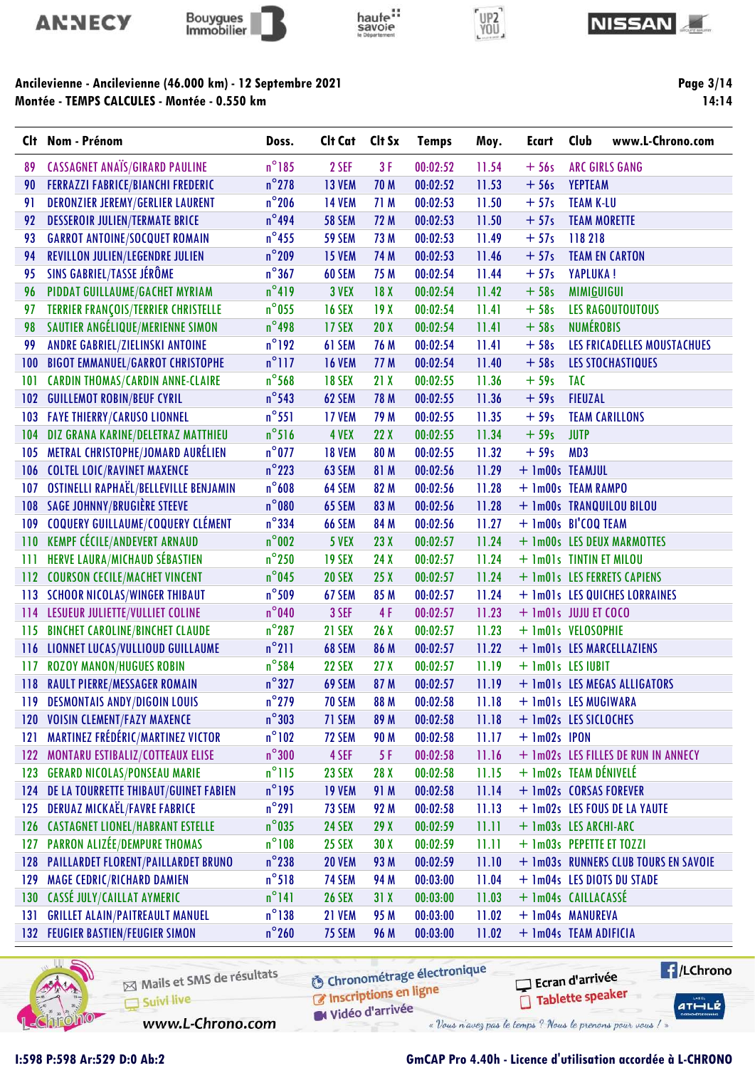









Page 3/14  $14:14$ 

| Clt | Nom - Prénom                             | Doss.           | Clt Cat       | Clt Sx          | <b>Temps</b> | Moy.  | <b>Ecart</b>             | Club                | www.L-Chrono.com                     |
|-----|------------------------------------------|-----------------|---------------|-----------------|--------------|-------|--------------------------|---------------------|--------------------------------------|
| 89  | <b>CASSAGNET ANAÏS/GIRARD PAULINE</b>    | $n^{\circ}185$  | 2 SEF         | 3F              | 00:02:52     | 11.54 | $+56s$                   |                     | <b>ARC GIRLS GANG</b>                |
| 90  | <b>FERRAZZI FABRICE/BIANCHI FREDERIC</b> | $n^{\circ}$ 278 | <b>13 VEM</b> | 70 M            | 00:02:52     | 11.53 | $+56s$                   | <b>YEPTEAM</b>      |                                      |
| 91  | <b>DERONZIER JEREMY/GERLIER LAURENT</b>  | $n^{\circ}$ 206 | <b>14 VEM</b> | 71 M            | 00:02:53     | 11.50 | $+57s$                   | <b>TEAM K-LU</b>    |                                      |
| 92  | <b>DESSEROIR JULIEN/TERMATE BRICE</b>    | $n^{\circ}$ 494 | <b>58 SEM</b> | 72 M            | 00:02:53     | 11.50 | $+57s$                   | <b>TEAM MORETTE</b> |                                      |
| 93  | <b>GARROT ANTOINE/SOCQUET ROMAIN</b>     | $n^{\circ}$ 455 | <b>59 SEM</b> | 73 M            | 00:02:53     | 11.49 | $+57s$                   | 118 218             |                                      |
| 94  | REVILLON JULIEN/LEGENDRE JULIEN          | $n^{\circ}$ 209 | <b>15 VEM</b> | 74 M            | 00:02:53     | 11.46 | $+57s$                   |                     | <b>TEAM EN CARTON</b>                |
| 95  | SINS GABRIEL/TASSE JÉRÔME                | $n^{\circ}367$  | 60 SEM        | 75 M            | 00:02:54     | 11.44 | $+57s$                   | <b>YAPLUKA!</b>     |                                      |
| 96  | PIDDAT GUILLAUME/GACHET MYRIAM           | $n^{\circ}419$  | 3 VEX         | 18X             | 00:02:54     | 11.42 | $+58s$                   | <b>MIMIGUIGUI</b>   |                                      |
| 97  | TERRIER FRANÇOIS/TERRIER CHRISTELLE      | $n^{\circ}$ 055 | <b>16 SEX</b> | 19X             | 00:02:54     | 11.41 | $+58s$                   |                     | <b>LES RAGOUTOUTOUS</b>              |
| 98  | SAUTIER ANGÉLIQUE/MERIENNE SIMON         | $n^{\circ}$ 498 | 17 SEX        | 20X             | 00:02:54     | 11.41 | $+58s$                   | <b>NUMÉROBIS</b>    |                                      |
| 99  | ANDRE GABRIEL/ZIELINSKI ANTOINE          | $n^{\circ}$ 192 | 61 SEM        | 76 M            | 00:02:54     | 11.41 | $+58s$                   |                     | LES FRICADELLES MOUSTACHUES          |
| 100 | <b>BIGOT EMMANUEL/GARROT CHRISTOPHE</b>  | $n^{\circ}$ 117 | <b>16 VEM</b> | 77 M            | 00:02:54     | 11.40 | $+58s$                   |                     | LES STOCHASTIQUES                    |
| 101 | <b>CARDIN THOMAS/CARDIN ANNE-CLAIRE</b>  | $n^{\circ}$ 568 | <b>18 SEX</b> | 21X             | 00:02:55     | 11.36 | $+59s$                   | <b>TAC</b>          |                                      |
| 102 | <b>GUILLEMOT ROBIN/BEUF CYRIL</b>        | $n^{\circ}$ 543 | 62 SEM        | 78 M            | 00:02:55     | 11.36 | $+59s$                   | <b>FIEUZAL</b>      |                                      |
| 103 | <b>FAYE THIERRY/CARUSO LIONNEL</b>       | $n^{\circ}$ 551 | <b>17 VEM</b> | 79 M            | 00:02:55     | 11.35 | $+59s$                   |                     | <b>TEAM CARILLONS</b>                |
| 104 | DIZ GRANA KARINE/DELETRAZ MATTHIEU       | $n^{\circ}$ 516 | 4 VEX         | 22X             | 00:02:55     | 11.34 | $+59s$                   | <b>JUTP</b>         |                                      |
| 105 | METRAL CHRISTOPHE/JOMARD AURÉLIEN        | $n^{\circ}$ 077 | <b>18 VEM</b> | 80 M            | 00:02:55     | 11.32 | $+59s$                   | MD3                 |                                      |
| 106 | <b>COLTEL LOIC/RAVINET MAXENCE</b>       | $n^{\circ}$ 223 | 63 SEM        | 81 M            | 00:02:56     | 11.29 | + 1m00s TEAMJUL          |                     |                                      |
| 107 | OSTINELLI RAPHAËL/BELLEVILLE BENJAMIN    | $n^{\circ}608$  | 64 SEM        | 82 M            | 00:02:56     | 11.28 | + 1m00s TEAM RAMPO       |                     |                                      |
|     | <b>108 SAGE JOHNNY/BRUGIÈRE STEEVE</b>   | $n^{\circ}080$  | 65 SEM        | 83 M            | 00:02:56     | 11.28 |                          |                     | + 1m00s TRANQUILOU BILOU             |
| 109 | <b>COQUERY GUILLAUME/COQUERY CLÉMENT</b> | $n^{\circ}$ 334 | <b>66 SEM</b> | 84 M            | 00:02:56     | 11.27 | + 1m00s BI'COQ TEAM      |                     |                                      |
| 110 | <b>KEMPF CÉCILE/ANDEVERT ARNAUD</b>      | $n^{\circ}002$  | 5 VEX         | 23X             | 00:02:57     | 11.24 |                          |                     | + 1m00s LES DEUX MARMOTTES           |
| 111 | HERVE LAURA/MICHAUD SÉBASTIEN            | $n^{\circ}$ 250 | <b>19 SEX</b> | 24X             | 00:02:57     | 11.24 | + 1m01s TINTIN ET MILOU  |                     |                                      |
| 112 | <b>COURSON CECILE/MACHET VINCENT</b>     | $n^{\circ}$ 045 | <b>20 SEX</b> | 25X             | 00:02:57     | 11.24 |                          |                     | + 1m01s LES FERRETS CAPIENS          |
| 113 | <b>SCHOOR NICOLAS/WINGER THIBAUT</b>     | $n^{\circ}$ 509 | 67 SEM        | 85 M            | 00:02:57     | 11.24 |                          |                     | + 1m01s LES QUICHES LORRAINES        |
| 114 | LESUEUR JULIETTE/VULLIET COLINE          | $n^{\circ}040$  | 3 SEF         | 4F              | 00:02:57     | 11.23 | $+$ 1m01s JUJU ET COCO   |                     |                                      |
| 115 | <b>BINCHET CAROLINE/BINCHET CLAUDE</b>   | $n^{\circ}$ 287 | <b>21 SEX</b> | 26X             | 00:02:57     | 11.23 | + 1m01s VELOSOPHIE       |                     |                                      |
| 116 | LIONNET LUCAS/VULLIOUD GUILLAUME         | $n^{\circ}$ 211 | 68 SEM        | 86 M            | 00:02:57     | 11.22 |                          |                     | + 1m01s LES MARCELLAZIENS            |
| 117 | <b>ROZOY MANON/HUGUES ROBIN</b>          | $n^{\circ}$ 584 | <b>22 SEX</b> | 27 <sub>X</sub> | 00:02:57     | 11.19 | + 1m01s LES IUBIT        |                     |                                      |
| 118 | <b>RAULT PIERRE/MESSAGER ROMAIN</b>      | $n^{\circ}327$  | 69 SEM        | 87 M            | 00:02:57     | 11.19 |                          |                     | + 1m01s LES MEGAS ALLIGATORS         |
| 119 | <b>DESMONTAIS ANDY/DIGOIN LOUIS</b>      | $n^{\circ}$ 279 | <b>70 SEM</b> | 88 M            | 00:02:58     | 11.18 | + 1m01s LES MUGIWARA     |                     |                                      |
|     | 120 VOISIN CLEMENT/FAZY MAXENCE          | $n^{\circ}303$  | 71 SEM        | 89 M            | 00:02:58     | 11.18 | + 1m02s LES SICLOCHES    |                     |                                      |
| 121 | <b>MARTINEZ FRÉDÉRIC/MARTINEZ VICTOR</b> | $n^{\circ}102$  | 72 SEM        | 90 M            | 00:02:58     | 11.17 | $+$ 1m02s IPON           |                     |                                      |
| 122 | MONTARU ESTIBALIZ/COTTEAUX ELISE         | $n^{\circ}300$  | 4 SEF         | 5 F             | 00:02:58     | 11.16 |                          |                     | + 1m02s LES FILLES DE RUN IN ANNECY  |
| 123 | <b>GERARD NICOLAS/PONSEAU MARIE</b>      | $n^{\circ}115$  | <b>23 SEX</b> | 28 X            | 00:02:58     | 11.15 | + 1m02s TEAM DÉNIVELÉ    |                     |                                      |
| 124 | DE LA TOURRETTE THIBAUT/GUINET FABIEN    | $n^{\circ}$ 195 | <b>19 VEM</b> | 91 M            | 00:02:58     | 11.14 | + 1m02s CORSAS FOREVER   |                     |                                      |
| 125 | <b>DERUAZ MICKAËL/FAVRE FABRICE</b>      | $n^{\circ}291$  | 73 SEM        | 92 M            | 00:02:58     | 11.13 |                          |                     | + 1m02s LES FOUS DE LA YAUTE         |
| 126 | <b>CASTAGNET LIONEL/HABRANT ESTELLE</b>  | $n^{\circ}$ 035 | <b>24 SEX</b> | 29 X            | 00:02:59     | 11.11 | + 1m03s LES ARCHI-ARC    |                     |                                      |
| 127 | PARRON ALIZÉE/DEMPURE THOMAS             | $n^{\circ}108$  | <b>25 SEX</b> | 30X             | 00:02:59     | 11.11 | + 1m03s PEPETTE ET TOZZI |                     |                                      |
| 128 | PAILLARDET FLORENT/PAILLARDET BRUNO      | $n^{\circ}$ 238 | <b>20 VEM</b> | 93 M            | 00:02:59     | 11.10 |                          |                     | + 1m03s RUNNERS CLUB TOURS EN SAVOIE |
| 129 | <b>MAGE CEDRIC/RICHARD DAMIEN</b>        | $n^{\circ}518$  | 74 SEM        | 94 M            | 00:03:00     | 11.04 |                          |                     | + 1m04s LES DIOTS DU STADE           |
| 130 | CASSÉ JULY/CAILLAT AYMERIC               | $n^{\circ}$ 141 | <b>26 SEX</b> | 31X             | 00:03:00     | 11.03 | + Im04s CAILLACASSE      |                     |                                      |
| 131 | <b>GRILLET ALAIN/PAITREAULT MANUEL</b>   | $n^{\circ}$ 138 | 21 VEM        | 95 M            | 00:03:00     | 11.02 | + 1m04s MANUREVA         |                     |                                      |
|     | <b>132 FEUGIER BASTIEN/FEUGIER SIMON</b> | $n^{\circ}$ 260 | 75 SEM        | 96 M            | 00:03:00     | 11.02 | + 1m04s TEAM ADIFICIA    |                     |                                      |

haute:



Mails et SMS de résultats Suivi live

**6** Chronométrage électronique Inscriptions en ligne

Ecran d'arrivée Tablette speaker **E** /LChrono

 $ATHLZ$ 

Vidéo d'arrivée

www.L-Chrono.com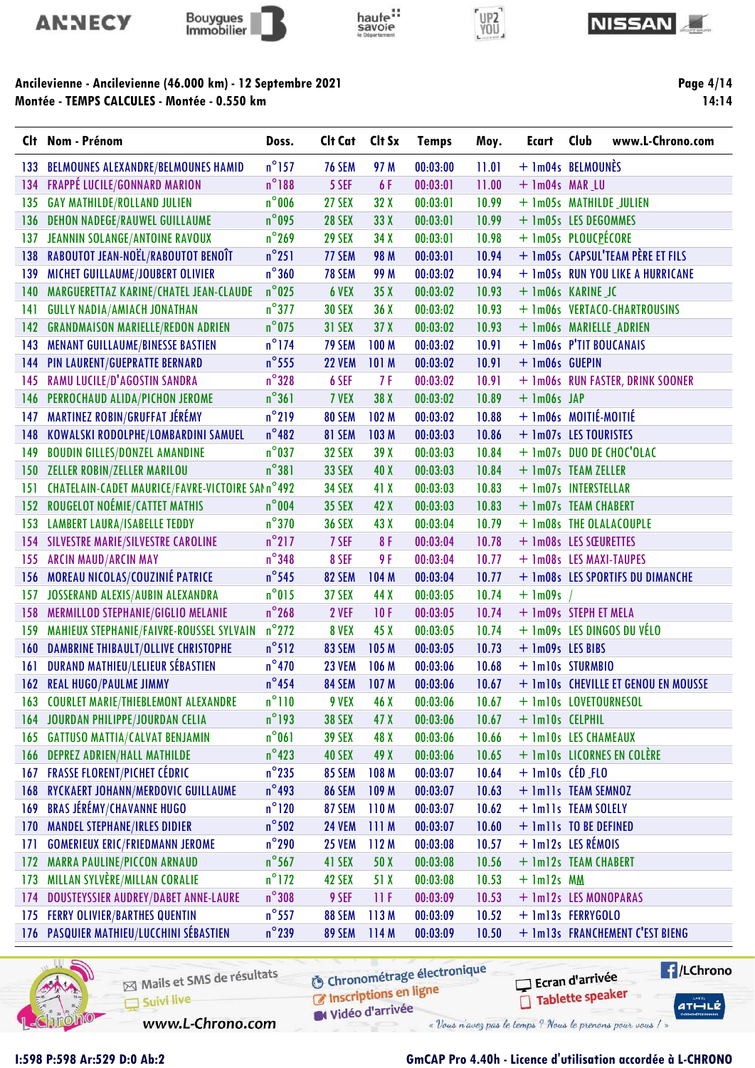









Page 4/14 14:14

|     | Clt Nom - Prénom                                | Doss.           | Clt Cat       | Clt Sx          | <b>Temps</b> | Moy.  | Ecart               | www.L-Chrono.com<br>Club            |
|-----|-------------------------------------------------|-----------------|---------------|-----------------|--------------|-------|---------------------|-------------------------------------|
| 133 | <b>BELMOUNES ALEXANDRE/BELMOUNES HAMID</b>      | $n^{\circ}$ 157 | <b>76 SEM</b> | 97 M            | 00:03:00     | 11.01 |                     | + 1m04s BELMOUNÈS                   |
| 134 | FRAPPÉ LUCILE/GONNARD MARION                    | $n^{\circ}$ 188 | 5 SEF         | 6 F             | 00:03:01     | 11.00 | + 1m04s MAR_LU      |                                     |
| 135 | <b>GAY MATHILDE/ROLLAND JULIEN</b>              | $n^{\circ}$ 006 | <b>27 SEX</b> | 32 X            | 00:03:01     | 10.99 |                     | + 1m05s MATHILDE JULIEN             |
| 136 | <b>DEHON NADEGE/RAUWEL GUILLAUME</b>            | $n^{\circ}$ 095 | <b>28 SEX</b> | 33 X            | 00:03:01     | 10.99 |                     | + 1m05s LES DEGOMMES                |
| 137 | JEANNIN SOLANGE/ANTOINE RAVOUX                  | $n^{\circ}$ 269 | <b>29 SEX</b> | 34 X            | 00:03:01     | 10.98 |                     | + 1m05s PLOUCPÉCORE                 |
| 138 | RABOUTOT JEAN-NOËL/RABOUTOT BENOÎT              | $n^{\circ}251$  | 77 SEM        | 98 M            | 00:03:01     | 10.94 |                     | + 1m05s CAPSUL'TEAM PÈRE ET FILS    |
| 139 | MICHET GUILLAUME/JOUBERT OLIVIER                | $n^{\circ}360$  | <b>78 SEM</b> | 99 M            | 00:03:02     | 10.94 |                     | + 1m05s RUN YOU LIKE A HURRICANE    |
| 140 | MARGUERETTAZ KARINE/CHATEL JEAN-CLAUDE          | $n^{\circ}$ 025 | 6 VEX         | 35X             | 00:03:02     | 10.93 |                     | + Im06s KARINE JC                   |
| 141 | <b>GULLY NADIA/AMIACH JONATHAN</b>              | $n^{\circ}377$  | <b>30 SEX</b> | 36X             | 00:03:02     | 10.93 |                     | + 1m06s VERTACO-CHARTROUSINS        |
| 142 | <b>GRANDMAISON MARIELLE/REDON ADRIEN</b>        | $n^{\circ}$ 075 | <b>31 SEX</b> | 37X             | 00:03:02     | 10.93 |                     | + 1m06s MARIELLE_ADRIEN             |
| 143 | MENANT GUILLAUME/BINESSE BASTIEN                | $n^{\circ}$ 174 | <b>79 SEM</b> | <b>100 M</b>    | 00:03:02     | 10.91 |                     | + 1m06s P'TIT BOUCANAIS             |
| 144 | PIN LAURENT/GUEPRATTE BERNARD                   | $n^{\circ}$ 555 | <b>22 VEM</b> | 101 M           | 00:03:02     | 10.91 | + 1m06s GUEPIN      |                                     |
| 145 | RAMU LUCILE/D'AGOSTIN SANDRA                    | $n^{\circ}328$  | 6 SEF         | 7F              | 00:03:02     | 10.91 |                     | + 1m06s RUN FASTER, DRINK SOONER    |
| 146 | PERROCHAUD ALIDA/PICHON JEROME                  | $n^{\circ}361$  | 7 VEX         | 38 X            | 00:03:02     | 10.89 | $+$ 1m06s JAP       |                                     |
| 147 | <b>MARTINEZ ROBIN/GRUFFAT JÉRÉMY</b>            | $n^{\circ}$ 219 | 80 SEM        | 102 M           | 00:03:02     | 10.88 |                     | + 1m06s MOITIÉ-MOITIÉ               |
| 148 | KOWALSKI RODOLPHE/LOMBARDINI SAMUEL             | $n^{\circ}482$  | 81 SEM        | 103 M           | 00:03:03     | 10.86 |                     | + 1m07s LES TOURISTES               |
| 149 | <b>BOUDIN GILLES/DONZEL AMANDINE</b>            | $n^{\circ}$ 037 | <b>32 SEX</b> | 39X             | 00:03:03     | 10.84 |                     | + 1m07s DUO DE CHOC'OLAC            |
| 150 | <b>ZELLER ROBIN/ZELLER MARILOU</b>              | $n^{\circ}381$  | <b>33 SEX</b> | 40 X            | 00:03:03     | 10.84 |                     | + 1m07s TEAM ZELLER                 |
| 151 | CHATELAIN-CADET MAURICE/FAVRE-VICTOIRE SAIn°492 |                 | <b>34 SEX</b> | 41 X            | 00:03:03     | 10.83 |                     | + 1m07s INTERSTELLAR                |
| 152 | ROUGELOT NOÉMIE/CATTET MATHIS                   | $n^{\circ}$ 004 | <b>35 SEX</b> | 42 X            | 00:03:03     | 10.83 |                     | + 1m07s TEAM CHABERT                |
| 153 | <b>LAMBERT LAURA/ISABELLE TEDDY</b>             | $n^{\circ}370$  | <b>36 SEX</b> | 43 X            | 00:03:04     | 10.79 |                     | + 1m08s THE OLALACOUPLE             |
|     | <b>154 SILVESTRE MARIE/SILVESTRE CAROLINE</b>   | $n^{\circ}$ 217 | 7 SEF         | 8F              | 00:03:04     | 10.78 |                     | + 1m08s LES SŒURETTES               |
| 155 | <b>ARCIN MAUD/ARCIN MAY</b>                     | $n^{\circ}$ 348 | 8 SEF         | 9F              | 00:03:04     | 10.77 |                     | + 1m08s LES MAXI-TAUPES             |
| 156 | MOREAU NICOLAS/COUZINIÉ PATRICE                 | $n^{\circ}$ 545 | 82 SEM        | 104 M           | 00:03:04     | 10.77 |                     | + 1m08s LES SPORTIFS DU DIMANCHE    |
| 157 | JOSSERAND ALEXIS/AUBIN ALEXANDRA                | $n^{\circ}015$  | <b>37 SEX</b> | 44 X            | 00:03:05     | 10.74 | $+$ 1m09s /         |                                     |
| 158 | MERMILLOD STEPHANIE/GIGLIO MELANIE              | $n^{\circ}$ 268 | 2 VEF         | 10F             | 00:03:05     | 10.74 |                     | + 1m09s STEPH ET MELA               |
| 159 | MAHIEUX STEPHANIE/FAIVRE-ROUSSEL SYLVAIN        | $n^{\circ}$ 272 | 8 VEX         | 45 X            | 00:03:05     | 10.74 |                     | + 1m09s LES DINGOS DU VÉLO          |
| 160 | DAMBRINE THIBAULT/OLLIVE CHRISTOPHE             | $n^{\circ}512$  | 83 SEM        | 105 M           | 00:03:05     | 10.73 | + 1m09s LES BIBS    |                                     |
| 161 | <b>DURAND MATHIEU/LELIEUR SÉBASTIEN</b>         | $n^{\circ}470$  | <b>23 VEM</b> | 106 M           | 00:03:06     | 10.68 |                     | + 1m10s STURMBIO                    |
| 162 | <b>REAL HUGO/PAULME JIMMY</b>                   | $n^{\circ}$ 454 | 84 SEM        | 107 M           | 00:03:06     | 10.67 |                     | + 1m10s CHEVILLE ET GENOU EN MOUSSE |
|     | <b>COURLET MARIE/THIEBLEMONT ALEXANDRE</b>      | $n^{\circ}110$  | 9 VEX         | 46 X            | 00:03:06     | 10.67 |                     | + 1m10s LOVETOURNESOL               |
|     | 164 JOURDAN PHILIPPE/JOURDAN CELIA              | $n^{\circ}$ 193 | <b>38 SEX</b> | 47 <sub>X</sub> | 00:03:06     | 10.67 | + 1m10s CELPHIL     |                                     |
| 165 | <b>GATTUSO MATTIA/CALVAT BENJAMIN</b>           | $n^{\circ}061$  | <b>39 SEX</b> | 48 X            | 00:03:06     | 10.66 |                     | + 1m10s LES CHAMEAUX                |
| 166 | <b>DEPREZ ADRIEN/HALL MATHILDE</b>              | $n^{\circ}$ 423 | <b>40 SEX</b> | 49 X            | 00:03:06     | 10.65 |                     | + 1m10s LICORNES EN COLÈRE          |
| 167 | <b>FRASSE FLORENT/PICHET CÉDRIC</b>             | $n^{\circ}$ 235 | <b>85 SEM</b> | 108 M           | 00:03:07     | 10.64 | $+$ 1m10s $CED$ FLO |                                     |
| 168 | RYCKAERT JOHANN/MERDOVIC GUILLAUME              | $n^{\circ}$ 493 | <b>86 SEM</b> | 109 M           | 00:03:07     | 10.63 |                     | + 1m11s TEAM SEMNOZ                 |
| 169 | BRAS JÉRÉMY/CHAVANNE HUGO                       | $n^{\circ}120$  | 87 SEM        | 110M            | 00:03:07     | 10.62 |                     | + 1m11s TEAM SOLELY                 |
| 170 | <b>MANDEL STEPHANE/IRLES DIDIER</b>             | $n^{\circ}$ 502 | <b>24 VEM</b> | 111M            | 00:03:07     | 10.60 |                     | + 1m11s TO BE DEFINED               |
| 171 | <b>GOMERIEUX ERIC/FRIEDMANN JEROME</b>          | $n^{\circ}$ 290 | <b>25 VEM</b> | 112 M           | 00:03:08     | 10.57 |                     | + 1m12s LES RÉMOIS                  |
| 172 | <b>MARRA PAULINE/PICCON ARNAUD</b>              | $n^{\circ}$ 567 | 41 SEX        | 50 X            | 00:03:08     | 10.56 |                     | + 1m12s TEAM CHABERT                |
| 173 | MILLAN SYLVÈRE/MILLAN CORALIE                   | $n^{\circ}$ 172 | 42 SEX        | 51 X            | 00:03:08     | 10.53 | $+$ 1m12s $MM$      |                                     |
| 174 | DOUSTEYSSIER AUDREY/DABET ANNE-LAURE            | $n^{\circ}308$  | 9 SEF         | 11F             | 00:03:09     | 10.53 |                     | + 1m12s LES MONOPARAS               |
| 175 | <b>FERRY OLIVIER/BARTHES QUENTIN</b>            | $n^{\circ}$ 557 | 88 SEM        | 113M            | 00:03:09     | 10.52 |                     | + 1m13s FERRYGOLO                   |
|     | 176 PASQUIER MATHIEU/LUCCHINI SÉBASTIEN         | $n^{\circ}$ 239 | <b>89 SEM</b> | 114M            | 00:03:09     | 10.50 |                     | + 1m13s FRANCHEMENT C'EST BIENG     |



Mails et SMS de résultats Suivi live

**6** Chronométrage électronique C Inscriptions en ligne

Vidéo d'arrivée

www.L-Chrono.com

« Vous n'avez pas le temps ? Nous le prenons pour vous / »

Ecran d'arrivée

Tablette speaker

**E** /LChrono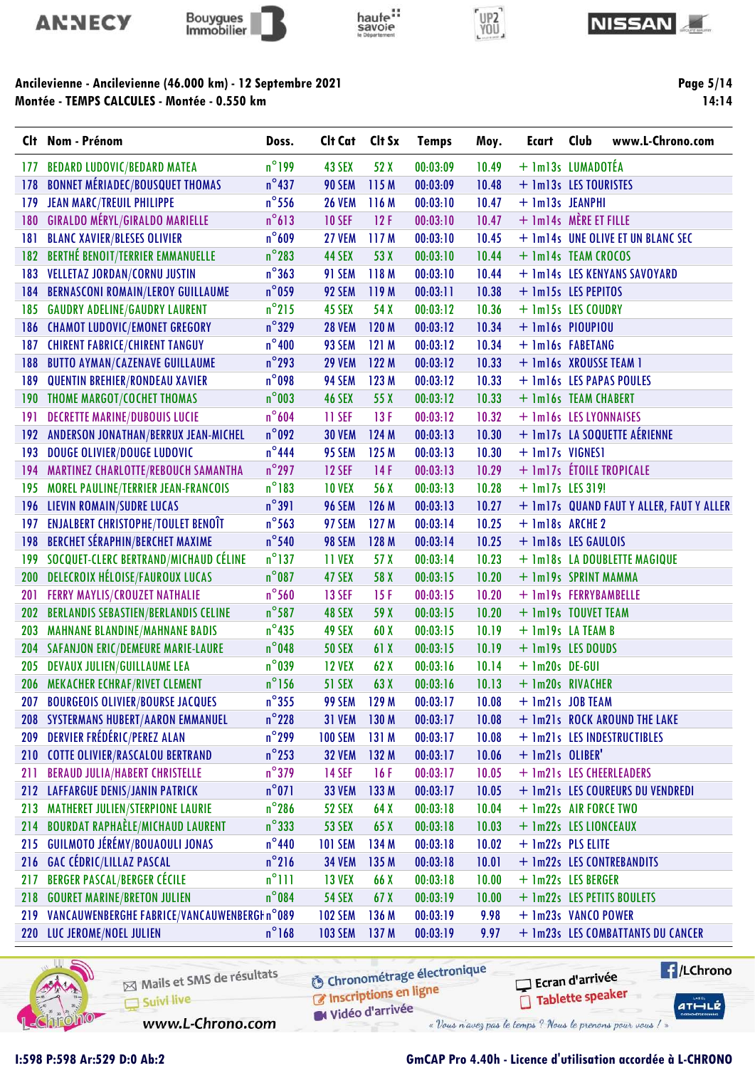









|            | Clt Nom - Prénom                            | Doss.           | Clt Cat        | Clt Sx           | <b>Temps</b> | Moy.  | Ecart                       | Club | www.L-Chrono.com                         |
|------------|---------------------------------------------|-----------------|----------------|------------------|--------------|-------|-----------------------------|------|------------------------------------------|
| 177        | <b>BEDARD LUDOVIC/BEDARD MATEA</b>          | $n^{\circ}$ 199 | 43 SEX         | 52 X             | 00:03:09     | 10.49 | + 1m13s LUMADOTÉA           |      |                                          |
| 178        | <b>BONNET MÉRIADEC/BOUSQUET THOMAS</b>      | $n^{\circ}$ 437 | <b>90 SEM</b>  | 115 M            | 00:03:09     | 10.48 | + 1m13s LES TOURISTES       |      |                                          |
| 179        | <b>JEAN MARC/TREUIL PHILIPPE</b>            | $n^{\circ}$ 556 | <b>26 VEM</b>  | 116 M            | 00:03:10     | 10.47 | + 1m13s JEANPHI             |      |                                          |
| 180        | <b>GIRALDO MÉRYL/GIRALDO MARIELLE</b>       | $n^{\circ}613$  | <b>10 SEF</b>  | 12F              | 00:03:10     | 10.47 | $+$ 1m14s $M$ MÈRE ET FILLE |      |                                          |
| 181        | <b>BLANC XAVIER/BLESES OLIVIER</b>          | $n^{\circ}609$  | 27 VEM         | 117 M            | 00:03:10     | 10.45 |                             |      | + 1m14s UNE OLIVE ET UN BLANC SEC        |
| 182        | <b>BERTHÉ BENOIT/TERRIER EMMANUELLE</b>     | $n^{\circ}$ 283 | 44 SEX         | 53 X             | 00:03:10     | 10.44 | + 1m14s TEAM CROCOS         |      |                                          |
| 183        | <b>VELLETAZ JORDAN/CORNU JUSTIN</b>         | $n^{\circ}363$  | <b>91 SEM</b>  | 118 M            | 00:03:10     | 10.44 |                             |      | + 1m14s LES KENYANS SAVOYARD             |
| 184        | <b>BERNASCONI ROMAIN/LEROY GUILLAUME</b>    | $n^{\circ}$ 059 | 92 SEM         | 119 M            | 00:03:11     | 10.38 | + 1m15s LES PEPITOS         |      |                                          |
| 185        | <b>GAUDRY ADELINE/GAUDRY LAURENT</b>        | $n^{\circ}$ 215 | 45 SEX         | 54 X             | 00:03:12     | 10.36 | + 1m15s LES COUDRY          |      |                                          |
| 186        | <b>CHAMOT LUDOVIC/EMONET GREGORY</b>        | $n^{\circ}329$  | <b>28 VEM</b>  | 120 M            | 00:03:12     | 10.34 | $+$ 1m16s PIOUPIOU          |      |                                          |
| 187        | <b>CHIRENT FABRICE/CHIRENT TANGUY</b>       | $n^{\circ}$ 400 | 93 SEM         | 121 M            | 00:03:12     | 10.34 | + 1m16s FABETANG            |      |                                          |
| 188        | <b>BUTTO AYMAN/CAZENAVE GUILLAUME</b>       | $n^{\circ}$ 293 | <b>29 VEM</b>  | 122 M            | 00:03:12     | 10.33 | + 1m16s XROUSSE TEAM 1      |      |                                          |
| 189        | <b>QUENTIN BREHIER/RONDEAU XAVIER</b>       | $n^{\circ}$ 098 | 94 SEM         | 123 M            | 00:03:12     | 10.33 |                             |      | + 1m16s LES PAPAS POULES                 |
| 190        | <b>THOME MARGOT/COCHET THOMAS</b>           | $n^{\circ}$ 003 | <b>46 SEX</b>  | 55 X             | 00:03:12     | 10.33 | + 1m16s TEAM CHABERT        |      |                                          |
| 191        | <b>DECRETTE MARINE/DUBOUIS LUCIE</b>        | $n^{\circ}$ 604 | 11 SEF         | 13F              | 00:03:12     | 10.32 | + 1m16s LES LYONNAISES      |      |                                          |
| 192        | ANDERSON JONATHAN/BERRUX JEAN-MICHEL        | $n^{\circ}$ 092 | <b>30 VEM</b>  | 124 M            | 00:03:13     | 10.30 |                             |      | + 1m17s LA SOQUETTE AÉRIENNE             |
| 193        | <b>DOUGE OLIVIER/DOUGE LUDOVIC</b>          | $n^{\circ}$ 444 | 95 SEM         | 125 M            | 00:03:13     | 10.30 | + 1m17s VIGNES1             |      |                                          |
| 194        | MARTINEZ CHARLOTTE/REBOUCH SAMANTHA         | $n^{\circ}$ 297 | <b>12 SEF</b>  | 14F              | 00:03:13     | 10.29 | + 1m17s ÉTOILE TROPICALE    |      |                                          |
| 195        | <b>MOREL PAULINE/TERRIER JEAN-FRANCOIS</b>  | $n^{\circ}183$  | <b>10 VEX</b>  | 56 X             | 00:03:13     | 10.28 | $+$ 1m17s LES 319!          |      |                                          |
|            | <b>196 LIEVIN ROMAIN/SUDRE LUCAS</b>        | $n^{\circ}391$  | <b>96 SEM</b>  | 126 M            | 00:03:13     | 10.27 |                             |      | + 1m17s QUAND FAUT Y ALLER, FAUT Y ALLER |
| 197        | <b>ENJALBERT CHRISTOPHE/TOULET BENOIT</b>   | $n^{\circ}$ 563 | 97 SEM         | 127 M            | 00:03:14     | 10.25 | + 1m18s ARCHE 2             |      |                                          |
| 198        | <b>BERCHET SÉRAPHIN/BERCHET MAXIME</b>      | $n^{\circ}$ 540 | 98 SEM         | 128 M            | 00:03:14     | 10.25 | + 1m18s LES GAULOIS         |      |                                          |
| 199        | SOCQUET-CLERC BERTRAND/MICHAUD CÉLINE       | $n^{\circ}$ 137 | 11 VEX         | 57 X             | 00:03:14     | 10.23 |                             |      | + 1m18s LA DOUBLETTE MAGIQUE             |
| 200        | DELECROIX HÉLOISE/FAUROUX LUCAS             | $n^{\circ}$ 087 | 47 SEX         | 58 X             | 00:03:15     | 10.20 | + 1m19s SPRINT MAMMA        |      |                                          |
| 201        | <b>FERRY MAYLIS/CROUZET NATHALIE</b>        | $n^{\circ}$ 560 | <b>13 SEF</b>  | 15F              | 00:03:15     | 10.20 | + 1m19s FERRYBAMBELLE       |      |                                          |
| 202        | <b>BERLANDIS SEBASTIEN/BERLANDIS CELINE</b> | $n^{\circ}$ 587 | 48 SEX         | 59 X             | 00:03:15     | 10.20 | + 1m19s TOUVET TEAM         |      |                                          |
| 203        | <b>MAHNANE BLANDINE/MAHNANE BADIS</b>       | $n^{\circ}$ 435 | 49 SEX         | 60 X             | 00:03:15     | 10.19 | + 1m19s LATEAM B            |      |                                          |
| 204        | <b>SAFANJON ERIC/DEMEURE MARIE-LAURE</b>    | $n^{\circ}$ 048 | <b>50 SEX</b>  | 61 X             | 00:03:15     | 10.19 | + 1m19s LES DOUDS           |      |                                          |
| 205        | <b>DEVAUX JULIEN/GUILLAUME LEA</b>          | $n^{\circ}$ 039 | <b>12 VEX</b>  | 62X              | 00:03:16     | 10.14 | $+$ 1m20s DE-GUI            |      |                                          |
| 206        | <b>MEKACHER ECHRAF/RIVET CLEMENT</b>        | $n^{\circ}$ 156 | <b>51 SEX</b>  | 63 X             | 00:03:16     | 10.13 | + 1m20s RIVACHER            |      |                                          |
|            | 207 BOURGEOIS OLIVIER/BOURSE JACQUES        | $n^{\circ}355$  | 99 SEM 129 M   |                  | 00:03:17     | 10.08 | + 1m21s JOB TEAM            |      |                                          |
|            | 208 SYSTERMANS HUBERT/AARON EMMANUEL        | $n^{\circ}$ 228 | <b>31 VEM</b>  | 130 M            | 00:03:17     | 10.08 |                             |      | + 1m21s ROCK AROUND THE LAKE             |
| 209        | <b>DERVIER FRÉDÉRIC/PEREZ ALAN</b>          | $n^{\circ}$ 299 | <b>100 SEM</b> | 131 M            | 00:03:17     | 10.08 |                             |      | + 1m21s LES INDESTRUCTIBLES              |
|            | 210 COTTE OLIVIER/RASCALOU BERTRAND         | $n^{\circ}$ 253 | <b>32 VEM</b>  | 132 M            | 00:03:17     | 10.06 | + 1m21s OLIBER'             |      |                                          |
| 211        | <b>BERAUD JULIA/HABERT CHRISTELLE</b>       | $n^{\circ}$ 379 | <b>14 SEF</b>  | 16F              | 00:03:17     | 10.05 |                             |      | + 1m21s LES CHEERLEADERS                 |
|            | 212 LAFFARGUE DENIS/JANIN PATRICK           | $n^{\circ}071$  | <b>33 VEM</b>  | 133 M            | 00:03:17     | 10.05 |                             |      | + 1m21s LES COUREURS DU VENDREDI         |
| 213        | <b>MATHERET JULIEN/STERPIONE LAURIE</b>     | $n^{\circ}$ 286 | <b>52 SEX</b>  | 64 X             | 00:03:18     | 10.04 | + 1m22s AIR FORCE TWO       |      |                                          |
| 214        | <b>BOURDAT RAPHAÈLE/MICHAUD LAURENT</b>     | $n^{\circ}333$  | <b>53 SEX</b>  | 65X              | 00:03:18     | 10.03 | + 1m22s LES LIONCEAUX       |      |                                          |
| 215        | GUILMOTO JÉRÉMY/BOUAOULI JONAS              | $n^{\circ}$ 440 | <b>101 SEM</b> | 134 M            | 00:03:18     | 10.02 | + 1m22s PLS ELITE           |      |                                          |
|            | 216 GAC CÉDRIC/LILLAZ PASCAL                | $n^{\circ}$ 216 | <b>34 VEM</b>  | 135 M            | 00:03:18     | 10.01 |                             |      | + 1m22s LES CONTREBANDITS                |
| 217        | <b>BERGER PASCAL/BERGER CÉCILE</b>          | $n^{\circ}$ 111 | <b>13 VEX</b>  | 66 X             | 00:03:18     | 10.00 | + 1m22s LES BERGER          |      |                                          |
| 218        | <b>GOURET MARINE/BRETON JULIEN</b>          | $n^{\circ}$ 084 | <b>54 SEX</b>  | 67X              | 00:03:19     | 10.00 |                             |      | + 1m22s LES PETITS BOULETS               |
| 219        | VANCAUWENBERGHE FABRICE/VANCAUWENBERGHn°089 |                 | <b>102 SEM</b> | 136 M            | 00:03:19     | 9.98  | + 1m23s VANCO POWER         |      |                                          |
| <b>220</b> | LUC JEROME/NOEL JULIEN                      | $n^{\circ}168$  | <b>103 SEM</b> | 137 <sub>M</sub> | 00:03:19     | 9.97  |                             |      | + 1m23s LES COMBATTANTS DU CANCER        |



Mails et SMS de résultats Suivi live

**6** Chronométrage électronique

C Inscriptions en ligne W Vidéo d'arrivée

www.L-Chrono.com

I:598 P:598 Ar:529 D:0 Ab:2 GmCAP Pro 4.40h - Licence d'utilisation accordée à L-CHRONO

Ecran d'arrivée

« Vous n'avez pas le temps ? Nous le prenons pour vous / »

Tablette speaker

**E** /LChrono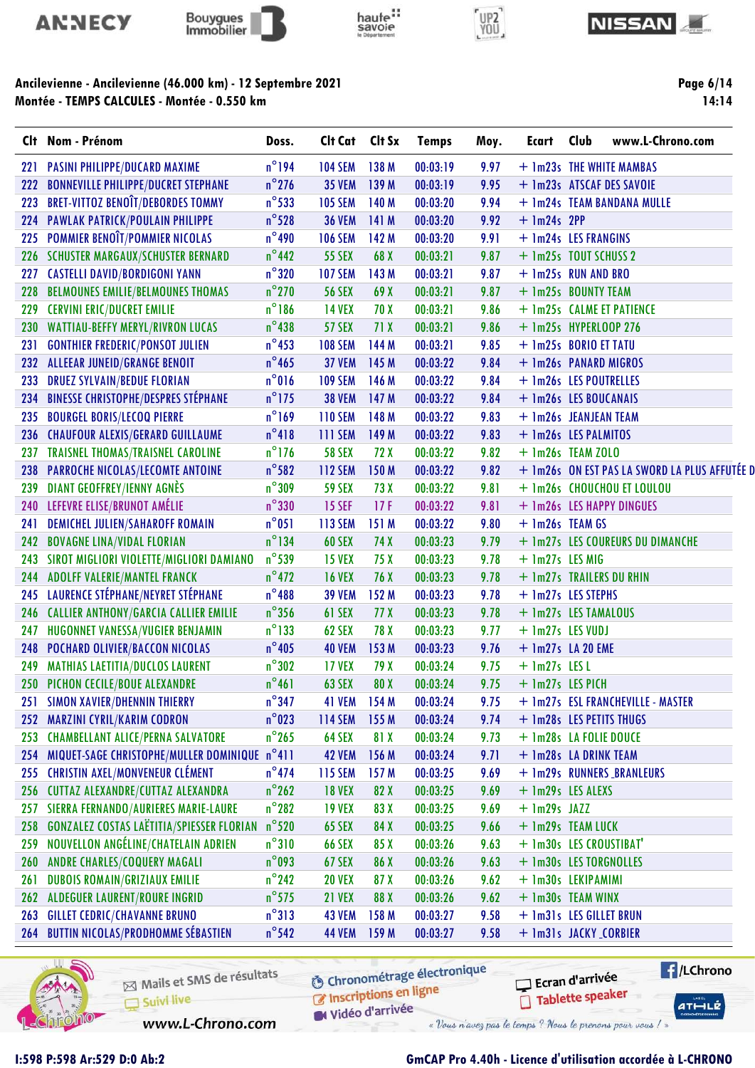









|     | Clt Nom - Prénom                                 | Doss.           | Cit Cat Cit Sx |       | <b>Temps</b> | Moy. | Ecart                    | Club | www.L-Chrono.com                              |
|-----|--------------------------------------------------|-----------------|----------------|-------|--------------|------|--------------------------|------|-----------------------------------------------|
| 221 | <b>PASINI PHILIPPE/DUCARD MAXIME</b>             | $n^{\circ}$ 194 | <b>104 SEM</b> | 138 M | 00:03:19     | 9.97 |                          |      | + 1m23s THE WHITE MAMBAS                      |
| 222 | <b>BONNEVILLE PHILIPPE/DUCRET STEPHANE</b>       | $n^{\circ}$ 276 | <b>35 VEM</b>  | 139 M | 00:03:19     | 9.95 |                          |      | + 1m23s ATSCAF DES SAVOIE                     |
| 223 | <b>BRET-VITTOZ BENOÎT/DEBORDES TOMMY</b>         | $n^{\circ}$ 533 | <b>105 SEM</b> | 140 M | 00:03:20     | 9.94 |                          |      | + 1m24s TEAM BANDANA MULLE                    |
| 224 | <b>PAWLAK PATRICK/POULAIN PHILIPPE</b>           | $n^{\circ}$ 528 | <b>36 VEM</b>  | 141 M | 00:03:20     | 9.92 | $+$ 1m24s 2PP            |      |                                               |
| 225 | POMMIER BENOÎT/POMMIER NICOLAS                   | $n^{\circ}$ 490 | <b>106 SEM</b> | 142 M | 00:03:20     | 9.91 | + 1m24s LES FRANGINS     |      |                                               |
|     | 226 SCHUSTER MARGAUX/SCHUSTER BERNARD            | $n^{\circ}$ 442 | <b>55 SEX</b>  | 68 X  | 00:03:21     | 9.87 | + 1m25s TOUT SCHUSS 2    |      |                                               |
| 227 | <b>CASTELLI DAVID/BORDIGONI YANN</b>             | $n^{\circ}320$  | <b>107 SEM</b> | 143 M | 00:03:21     | 9.87 | + 1m25s RUN AND BRO      |      |                                               |
| 228 | <b>BELMOUNES EMILIE/BELMOUNES THOMAS</b>         | $n^{\circ}$ 270 | <b>56 SEX</b>  | 69 X  | 00:03:21     | 9.87 | + 1m25s BOUNTY TEAM      |      |                                               |
| 229 | <b>CERVINI ERIC/DUCRET EMILIE</b>                | $n^{\circ}$ 186 | <b>14 VEX</b>  | 70 X  | 00:03:21     | 9.86 |                          |      | + 1m25s CALME ET PATIENCE                     |
| 230 | <b>WATTIAU-BEFFY MERYL/RIVRON LUCAS</b>          | $n^{\circ}438$  | <b>57 SEX</b>  | 71X   | 00:03:21     | 9.86 | + 1m25s HYPERLOOP 276    |      |                                               |
| 231 | <b>GONTHIER FREDERIC/PONSOT JULIEN</b>           | $n^{\circ}$ 453 | <b>108 SEM</b> | 144 M | 00:03:21     | 9.85 | + 1m25s BORIO ET TATU    |      |                                               |
| 232 | <b>ALLEEAR JUNEID/GRANGE BENOIT</b>              | $n^{\circ}$ 465 | <b>37 VEM</b>  | 145 M | 00:03:22     | 9.84 | + 1m26s PANARD MIGROS    |      |                                               |
| 233 | <b>DRUEZ SYLVAIN/BEDUE FLORIAN</b>               | $n^{\circ}016$  | <b>109 SEM</b> | 146 M | 00:03:22     | 9.84 | + 1m26s LES POUTRELLES   |      |                                               |
| 234 | <b>BINESSE CHRISTOPHE/DESPRES STÉPHANE</b>       | $n^{\circ}$ 175 | <b>38 VEM</b>  | 147 M | 00:03:22     | 9.84 | + 1m26s LES BOUCANAIS    |      |                                               |
| 235 | <b>BOURGEL BORIS/LECOQ PIERRE</b>                | $n^{\circ}$ 169 | <b>110 SEM</b> | 148 M | 00:03:22     | 9.83 | + 1m26s JEANJEAN TEAM    |      |                                               |
| 236 | <b>CHAUFOUR ALEXIS/GERARD GUILLAUME</b>          | $n^{\circ}418$  | 111 SEM        | 149 M | 00:03:22     | 9.83 | + 1m26s LES PALMITOS     |      |                                               |
| 237 | TRAISNEL THOMAS/TRAISNEL CAROLINE                | $n^{\circ}$ 176 | <b>58 SEX</b>  | 72 X  | 00:03:22     | 9.82 | $+$ 1m26s TEAM ZOLO      |      |                                               |
| 238 | PARROCHE NICOLAS/LECOMTE ANTOINE                 | $n^{\circ}$ 582 | <b>112 SEM</b> | 150 M | 00:03:22     | 9.82 |                          |      | + 1m26s ON EST PAS LA SWORD LA PLUS AFFUTÉE D |
| 239 | <b>DIANT GEOFFREY/IENNY AGNÈS</b>                | $n^{\circ}$ 309 | <b>59 SEX</b>  | 73 X  | 00:03:22     | 9.81 |                          |      | + 1m26s CHOUCHOU ET LOULOU                    |
| 240 | LEFEVRE ELISE/BRUNOT AMÉLIE                      | $n^{\circ}330$  | <b>15 SEF</b>  | 17F   | 00:03:22     | 9.81 |                          |      | + 1m26s LES HAPPY DINGUES                     |
| 241 | DEMICHEL JULIEN/SAHAROFF ROMAIN                  | $n^{\circ}$ 051 | <b>113 SEM</b> | 151 M | 00:03:22     | 9.80 | + 1m26s TEAM GS          |      |                                               |
| 242 | <b>BOVAGNE LINA/VIDAL FLORIAN</b>                | $n^{\circ}$ 134 | <b>60 SEX</b>  | 74 X  | 00:03:23     | 9.79 |                          |      | + 1m27s LES COUREURS DU DIMANCHE              |
| 243 | SIROT MIGLIORI VIOLETTE/MIGLIORI DAMIANO         | $n^{\circ}$ 539 | <b>15 VEX</b>  | 75 X  | 00:03:23     | 9.78 | $+$ 1m27s LES MIG        |      |                                               |
| 244 | <b>ADOLFF VALERIE/MANTEL FRANCK</b>              | $n^{\circ}$ 472 | <b>16 VEX</b>  | 76 X  | 00:03:23     | 9.78 | + 1m27s TRAILERS DU RHIN |      |                                               |
| 245 | LAURENCE STÉPHANE/NEYRET STÉPHANE                | $n^{\circ}488$  | <b>39 VEM</b>  | 152 M | 00:03:23     | 9.78 | + 1m27s LES STEPHS       |      |                                               |
| 246 | <b>CALLIER ANTHONY/GARCIA CALLIER EMILIE</b>     | $n^{\circ}$ 356 | 61 SEX         | 77 X  | 00:03:23     | 9.78 | + 1m27s LES TAMALOUS     |      |                                               |
| 247 | HUGONNET VANESSA/VUGIER BENJAMIN                 | $n^{\circ}$ 133 | 62 SEX         | 78 X  | 00:03:23     | 9.77 | + 1m27s LES VUDJ         |      |                                               |
| 248 | POCHARD OLIVIER/BACCON NICOLAS                   | $n^{\circ}$ 405 | <b>40 VEM</b>  | 153 M | 00:03:23     | 9.76 | $+$ 1m27s LA 20 EME      |      |                                               |
| 249 | <b>MATHIAS LAETITIA/DUCLOS LAURENT</b>           | $n^{\circ}302$  | <b>17 VEX</b>  | 79 X  | 00:03:24     | 9.75 | $+$ 1m27s LES L          |      |                                               |
|     | 250 PICHON CECILE/BOUE ALEXANDRE                 | $n^{\circ}461$  | <b>63 SEX</b>  | 80 X  | 00:03:24     | 9.75 | + 1m27s LES PICH         |      |                                               |
| 251 | <b>SIMON XAVIER/DHENNIN THIERRY</b>              | $n^{\circ}$ 347 | <b>41 VEM</b>  | 154M  | 00:03:24     | 9.75 |                          |      | + 1m27s ESL FRANCHEVILLE - MASTER             |
| 252 | <b>MARZINI CYRIL/KARIM CODRON</b>                | $n^{\circ}$ 023 | 114 SEM        | 155 M | 00:03:24     | 9.74 | + 1m28s LES PETITS THUGS |      |                                               |
| 253 | <b>CHAMBELLANT ALICE/PERNA SALVATORE</b>         | $n^{\circ}$ 265 | 64 SEX         | 81 X  | 00:03:24     | 9.73 | + 1m28s LA FOLIE DOUCE   |      |                                               |
| 254 | MIQUET-SAGE CHRISTOPHE/MULLER DOMINIQUE n°411    |                 | <b>42 VEM</b>  | 156 M | 00:03:24     | 9.71 | + 1m28s LA DRINK TEAM    |      |                                               |
| 255 | <b>CHRISTIN AXEL/MONVENEUR CLÉMENT</b>           | $n^{\circ}474$  | <b>115 SEM</b> | 157 M | 00:03:25     | 9.69 |                          |      | + 1m29s RUNNERS BRANLEURS                     |
| 256 | <b>CUTTAZ ALEXANDRE/CUTTAZ ALEXANDRA</b>         | $n^{\circ}$ 262 | <b>18 VEX</b>  | 82 X  | 00:03:25     | 9.69 | + 1m29s LES ALEXS        |      |                                               |
| 257 | SIERRA FERNANDO/AURIERES MARIE-LAURE             | $n^{\circ}$ 282 | <b>19 VEX</b>  | 83 X  | 00:03:25     | 9.69 | $+$ 1m29s JAZZ           |      |                                               |
| 258 | <b>GONZALEZ COSTAS LAËTITIA/SPIESSER FLORIAN</b> | $n^{\circ}$ 520 | <b>65 SEX</b>  | 84 X  | 00:03:25     | 9.66 | + 1m29s TEAM LUCK        |      |                                               |
| 259 | NOUVELLON ANGÉLINE/CHATELAIN ADRIEN              | $n^{\circ}310$  | <b>66 SEX</b>  | 85 X  | 00:03:26     | 9.63 | + 1m30s LES CROUSTIBAT'  |      |                                               |
| 260 | <b>ANDRE CHARLES/COQUERY MAGALI</b>              | $n^{\circ}$ 093 | <b>67 SEX</b>  | 86 X  | 00:03:26     | 9.63 | + 1m30s LES TORGNOLLES   |      |                                               |
| 261 | <b>DUBOIS ROMAIN/GRIZIAUX EMILIE</b>             | $n^{\circ}$ 242 | <b>20 VEX</b>  | 87 X  | 00:03:26     | 9.62 | + 1m30s LEKIPAMIMI       |      |                                               |
| 262 | <b>ALDEGUER LAURENT/ROURE INGRID</b>             | $n^{\circ}$ 575 | <b>21 VEX</b>  | 88 X  | 00:03:26     | 9.62 | + 1m30s TEAM WINX        |      |                                               |
| 263 | <b>GILLET CEDRIC/CHAVANNE BRUNO</b>              | $n^{\circ}313$  | <b>43 VEM</b>  | 158 M | 00:03:27     | 9.58 | + 1m31s LES GILLET BRUN  |      |                                               |
|     |                                                  |                 |                |       |              |      |                          |      |                                               |



Mails et SMS de résultats Suivi live

**6** Chronométrage électronique

**E** /LChrono Ecran d'arrivée Tablette speaker

 $ATHLLE$ 

C Inscriptions en ligne Vidéo d'arrivée

www.L-Chrono.com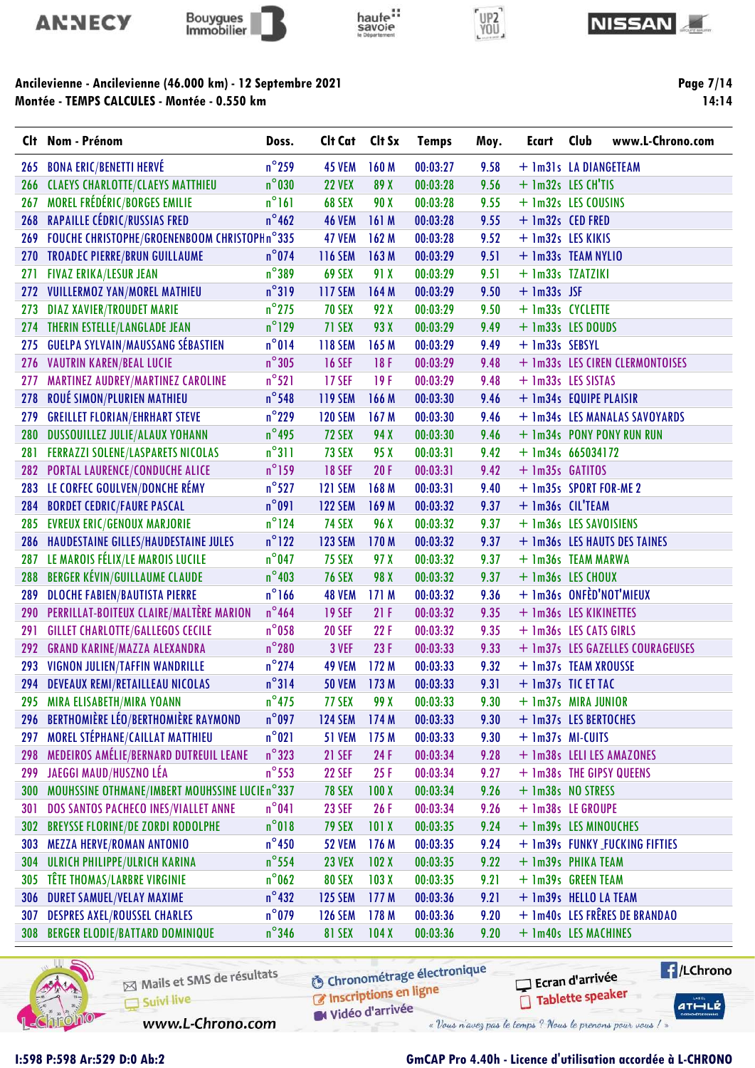









Page 7/14 14:14

|     | Clt Nom - Prénom                               | Doss.           | Clt Cat        | Clt Sx           | <b>Temps</b> | Moy. | Ecart                    | Club | www.L-Chrono.com                 |
|-----|------------------------------------------------|-----------------|----------------|------------------|--------------|------|--------------------------|------|----------------------------------|
| 265 | <b>BONA ERIC/BENETTI HERVÉ</b>                 | $n^{\circ}$ 259 | <b>45 VEM</b>  | 160 M            | 00:03:27     | 9.58 | + 1m31s LA DIANGETEAM    |      |                                  |
| 266 | <b>CLAEYS CHARLOTTE/CLAEYS MATTHIEU</b>        | $n^{\circ}$ 030 | <b>22 VEX</b>  | 89 X             | 00:03:28     | 9.56 | + 1m32s LES CH'TIS       |      |                                  |
| 267 | MOREL FRÉDÉRIC/BORGES EMILIE                   | $n^{\circ}$ 161 | 68 SEX         | 90 X             | 00:03:28     | 9.55 | + 1m32s LES COUSINS      |      |                                  |
| 268 | RAPAILLE CÉDRIC/RUSSIAS FRED                   | $n^{\circ}$ 462 | <b>46 VEM</b>  | 161M             | 00:03:28     | 9.55 | + 1m32s CED FRED         |      |                                  |
| 269 | FOUCHE CHRISTOPHE/GROENENBOOM CHRISTOPHn°335   |                 | 47 VEM         | 162 M            | 00:03:28     | 9.52 | + 1m32s LES KIKIS        |      |                                  |
| 270 | <b>TROADEC PIERRE/BRUN GUILLAUME</b>           | $n^{\circ}$ 074 | <b>116 SEM</b> | 163 M            | 00:03:29     | 9.51 | + 1m33s TEAM NYLIO       |      |                                  |
| 271 | <b>FIVAZ ERIKA/LESUR JEAN</b>                  | $n^{\circ}$ 389 | 69 SEX         | 91 X             | 00:03:29     | 9.51 | + 1m33s TZATZIKI         |      |                                  |
| 272 | <b>VUILLERMOZ YAN/MOREL MATHIEU</b>            | $n^{\circ}319$  | <b>117 SEM</b> | 164 M            | 00:03:29     | 9.50 | $+$ 1m33s JSF            |      |                                  |
| 273 | <b>DIAZ XAVIER/TROUDET MARIE</b>               | $n^{\circ}$ 275 | <b>70 SEX</b>  | 92 X             | 00:03:29     | 9.50 | + 1m33s CYCLETTE         |      |                                  |
| 274 | THERIN ESTELLE/LANGLADE JEAN                   | $n^{\circ}$ 129 | 71 SEX         | 93 X             | 00:03:29     | 9.49 | + 1m33s LES DOUDS        |      |                                  |
| 275 | <b>GUELPA SYLVAIN/MAUSSANG SÉBASTIEN</b>       | $n^{\circ}014$  | 118 SEM        | 165 M            | 00:03:29     | 9.49 | + 1m33s SEBSYL           |      |                                  |
| 276 | <b>VAUTRIN KAREN/BEAL LUCIE</b>                | $n^{\circ}305$  | <b>16 SEF</b>  | 18F              | 00:03:29     | 9.48 |                          |      | + 1m33s LES CIREN CLERMONTOISES  |
| 277 | MARTINEZ AUDREY/MARTINEZ CAROLINE              | $n^{\circ}521$  | <b>17 SEF</b>  | 19F              | 00:03:29     | 9.48 | + 1m33s LES SISTAS       |      |                                  |
| 278 | ROUÉ SIMON/PLURIEN MATHIEU                     | $n^{\circ}$ 548 | <b>119 SEM</b> | 166 M            | 00:03:30     | 9.46 | + 1m34s EQUIPE PLAISIR   |      |                                  |
| 279 | <b>GREILLET FLORIAN/EHRHART STEVE</b>          | $n^{\circ}$ 229 | <b>120 SEM</b> | 167 M            | 00:03:30     | 9.46 |                          |      | + 1m34s LES MANALAS SAVOYARDS    |
| 280 | <b>DUSSOUILLEZ JULIE/ALAUX YOHANN</b>          | $n^{\circ}$ 495 | <b>72 SEX</b>  | 94 X             | 00:03:30     | 9.46 |                          |      | + 1m34s PONY PONY RUN RUN        |
| 281 | <b>FERRAZZI SOLENE/LASPARETS NICOLAS</b>       | $n^{\circ}311$  | 73 SEX         | 95 X             | 00:03:31     | 9.42 | $+$ 1m34s 665034172      |      |                                  |
|     | 282 PORTAL LAURENCE/CONDUCHE ALICE             | $n^{\circ}$ 159 | <b>18 SEF</b>  | 20F              | 00:03:31     | 9.42 | + 1m35s GATITOS          |      |                                  |
| 283 | LE CORFEC GOULVEN/DONCHE RÉMY                  | $n^{\circ}$ 527 | <b>121 SEM</b> | 168 M            | 00:03:31     | 9.40 | + 1m35s SPORT FOR-ME 2   |      |                                  |
| 284 | <b>BORDET CEDRIC/FAURE PASCAL</b>              | $n^{\circ}091$  | <b>122 SEM</b> | 169 M            | 00:03:32     | 9.37 | + 1m36s CIL'TEAM         |      |                                  |
| 285 | <b>EVREUX ERIC/GENOUX MARJORIE</b>             | $n^{\circ}$ 124 | <b>74 SEX</b>  | 96 X             | 00:03:32     | 9.37 | + 1m36s LES SAVOISIENS   |      |                                  |
| 286 | HAUDESTAINE GILLES/HAUDESTAINE JULES           | $n^{\circ}$ 122 | <b>123 SEM</b> | 170 M            | 00:03:32     | 9.37 |                          |      | + 1m36s LES HAUTS DES TAINES     |
| 287 | LE MAROIS FÉLIX/LE MAROIS LUCILE               | $n^{\circ}$ 047 | <b>75 SEX</b>  | 97 X             | 00:03:32     | 9.37 | + 1m36s TEAM MARWA       |      |                                  |
| 288 | <b>BERGER KÉVIN/GUILLAUME CLAUDE</b>           | $n^{\circ}$ 403 | <b>76 SEX</b>  | 98 X             | 00:03:32     | 9.37 | + 1m36s LES CHOUX        |      |                                  |
| 289 | <b>DLOCHE FABIEN/BAUTISTA PIERRE</b>           | $n^{\circ}$ 166 | <b>48 VEM</b>  | 171M             | 00:03:32     | 9.36 | + 1m36s ONFÈD'NOT'MIEUX  |      |                                  |
| 290 | <b>PERRILLAT-BOITEUX CLAIRE/MALTÈRE MARION</b> | $n^{\circ}$ 464 | <b>19 SEF</b>  | 21F              | 00:03:32     | 9.35 | + 1m36s LES KIKINETTES   |      |                                  |
| 291 | <b>GILLET CHARLOTTE/GALLEGOS CECILE</b>        | $n^{\circ}$ 058 | <b>20 SEF</b>  | 22F              | 00:03:32     | 9.35 | + 1m36s LES CATS GIRLS   |      |                                  |
| 292 | <b>GRAND KARINE/MAZZA ALEXANDRA</b>            | $n^{\circ}280$  | 3 VEF          | 23F              | 00:03:33     | 9.33 |                          |      | + 1m37s LES GAZELLES COURAGEUSES |
| 293 | VIGNON JULIEN/TAFFIN WANDRILLE                 | $n^{\circ}$ 274 | <b>49 VEM</b>  | 172 M            | 00:03:33     | 9.32 | + 1m37s TEAM XROUSSE     |      |                                  |
| 294 | DEVEAUX REMI/RETAILLEAU NICOLAS                | $n^{\circ}314$  | <b>50 VEM</b>  | 173 M            | 00:03:33     | 9.31 | + 1m37s TIC ET TAC       |      |                                  |
| 295 | <b>MIRA ELISABETH/MIRA YOANN</b>               | $n^{\circ}$ 475 | 77 SEX         | 99 X             | 00:03:33     | 9.30 | + 1m37s MIRA JUNIOR      |      |                                  |
| 296 | BERTHOMIÈRE LÉO/BERTHOMIÈRE RAYMOND            | $n^{\circ}$ 097 | <b>124 SEM</b> | 174 M            | 00:03:33     | 9.30 | + 1m37s LES BERTOCHES    |      |                                  |
| 297 | MOREL STÉPHANE/CAILLAT MATTHIEU                | $n^{\circ}021$  | <b>51 VEM</b>  | 175 M            | 00:03:33     | 9.30 | + 1m37s MI-CUITS         |      |                                  |
| 298 | MEDEIROS AMÉLIE/BERNARD DUTREUIL LEANE         | $n^{\circ}323$  | <b>21 SEF</b>  | 24 F             | 00:03:34     | 9.28 |                          |      | + 1m38s LELI LES AMAZONES        |
| 299 | JAEGGI MAUD/HUSZNO LÉA                         | $n^{\circ}$ 553 | <b>22 SEF</b>  | 25F              | 00:03:34     | 9.27 | + 1m38s THE GIPSY QUEENS |      |                                  |
| 300 | MOUHSSINE OTHMANE/IMBERT MOUHSSINE LUCIE n°337 |                 | <b>78 SEX</b>  | 100X             | 00:03:34     | 9.26 | + 1m38s NO STRESS        |      |                                  |
| 301 | DOS SANTOS PACHECO INES/VIALLET ANNE           | $n^{\circ}041$  | <b>23 SEF</b>  | 26 F             | 00:03:34     | 9.26 | + 1m38s LE GROUPE        |      |                                  |
| 302 | <b>BREYSSE FLORINE/DE ZORDI RODOLPHE</b>       | $n^{\circ}018$  | <b>79 SEX</b>  | 101X             | 00:03:35     | 9.24 | + 1m39s LES MINOUCHES    |      |                                  |
| 303 | <b>MEZZA HERVE/ROMAN ANTONIO</b>               | $n^{\circ}$ 450 | <b>52 VEM</b>  | 176M             | 00:03:35     | 9.24 |                          |      | + 1m39s FUNKY_FUCKING FIFTIES    |
| 304 | ULRICH PHILIPPE/ULRICH KARINA                  | $n^{\circ}$ 554 | <b>23 VEX</b>  | 102X             | 00:03:35     | 9.22 | + 1m39s PHIKA TEAM       |      |                                  |
| 305 | <b>TÊTE THOMAS/LARBRE VIRGINIE</b>             | $n^{\circ}$ 062 | <b>80 SEX</b>  | 103 <sub>X</sub> | 00:03:35     | 9.21 | + 1m39s GREEN TEAM       |      |                                  |
| 306 | <b>DURET SAMUEL/VELAY MAXIME</b>               | $n^{\circ}432$  | <b>125 SEM</b> | 177 M            | 00:03:36     | 9.21 | + 1m39s HELLO LA TEAM    |      |                                  |
| 307 | <b>DESPRES AXEL/ROUSSEL CHARLES</b>            | $n^{\circ}$ 079 | <b>126 SEM</b> | 178 M            | 00:03:36     | 9.20 |                          |      | + 1m40s LES FRÊRES DE BRANDAO    |
| 308 | <b>BERGER ELODIE/BATTARD DOMINIQUE</b>         | $n^{\circ}$ 346 | <b>81 SEX</b>  | 104X             | 00:03:36     | 9.20 | + 1m40s LES MACHINES     |      |                                  |
|     |                                                |                 |                |                  |              |      |                          |      |                                  |



Mails et SMS de résultats Suivi live www.L-Chrono.com

**6** Chronométrage électronique

 $\blacksquare$ /LChrono Ecran d'arrivée Tablette speaker

 $ATHLLE$ 

C Inscriptions en ligne Vidéo d'arrivée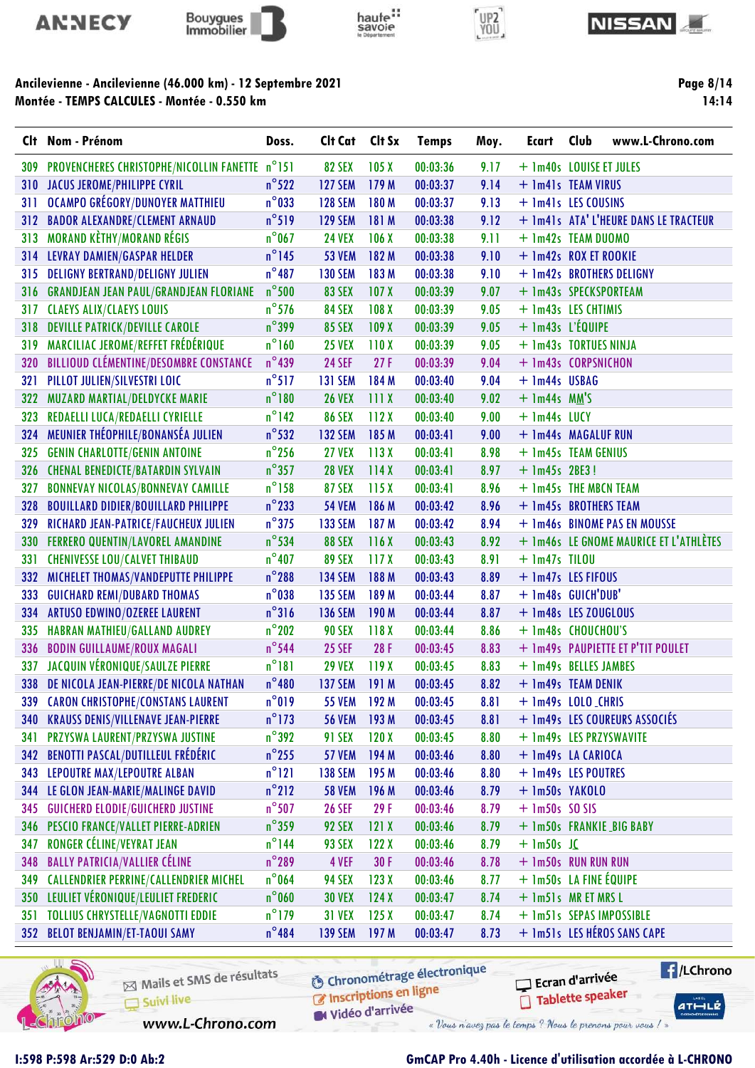









Page 8/14 14:14

|     | Clt Nom - Prénom                               | Doss.           | Clt Cat        | Clt Sx           | <b>Temps</b> | Moy. | Ecart                   | Club | www.L-Chrono.com                       |
|-----|------------------------------------------------|-----------------|----------------|------------------|--------------|------|-------------------------|------|----------------------------------------|
| 309 | PROVENCHERES CHRISTOPHE/NICOLLIN FANETTE n°151 |                 | <b>82 SEX</b>  | 105X             | 00:03:36     | 9.17 | + 1m40s LOUISE ET JULES |      |                                        |
| 310 | <b>JACUS JEROME/PHILIPPE CYRIL</b>             | $n^{\circ}$ 522 | <b>127 SEM</b> | 179 M            | 00:03:37     | 9.14 | + 1m41s TEAM VIRUS      |      |                                        |
| 311 | <b>OCAMPO GRÉGORY/DUNOYER MATTHIEU</b>         | $n^{\circ}$ 033 | <b>128 SEM</b> | 180 M            | 00:03:37     | 9.13 | + 1m41s LES COUSINS     |      |                                        |
| 312 | <b>BADOR ALEXANDRE/CLEMENT ARNAUD</b>          | $n^{\circ}519$  | <b>129 SEM</b> | 181 M            | 00:03:38     | 9.12 |                         |      | + 1m41s ATA' L'HEURE DANS LE TRACTEUR  |
| 313 | <b>MORAND KÈTHY/MORAND RÉGIS</b>               | $n^{\circ}$ 067 | <b>24 VEX</b>  | 106X             | 00:03:38     | 9.11 | + 1m42s TEAM DUOMO      |      |                                        |
|     | 314 LEVRAY DAMIEN/GASPAR HELDER                | $n^{\circ}$ 145 | <b>53 VEM</b>  | 182 M            | 00:03:38     | 9.10 | + 1m42s ROX ET ROOKIE   |      |                                        |
| 315 | <b>DELIGNY BERTRAND/DELIGNY JULIEN</b>         | $n^{\circ}487$  | <b>130 SEM</b> | 183 M            | 00:03:38     | 9.10 |                         |      | + 1m42s BROTHERS DELIGNY               |
| 316 | <b>GRANDJEAN JEAN PAUL/GRANDJEAN FLORIANE</b>  | $n^{\circ}$ 500 | <b>83 SEX</b>  | 107 <sub>X</sub> | 00:03:39     | 9.07 | + 1m43s SPECKSPORTEAM   |      |                                        |
| 317 | <b>CLAEYS ALIX/CLAEYS LOUIS</b>                | $n^{\circ}$ 576 | <b>84 SEX</b>  | 108 <sub>X</sub> | 00:03:39     | 9.05 | + 1m43s LES CHTIMIS     |      |                                        |
| 318 | <b>DEVILLE PATRICK/DEVILLE CAROLE</b>          | $n^{\circ}$ 399 | <b>85 SEX</b>  | 109X             | 00:03:39     | 9.05 | $+$ 1m43s L'ÉQUIPE      |      |                                        |
| 319 | MARCILIAC JEROME/REFFET FRÉDÉRIQUE             | $n^{\circ}$ 160 | <b>25 VEX</b>  | 110X             | 00:03:39     | 9.05 | + 1m43s TORTUES NINJA   |      |                                        |
| 320 | BILLIOUD CLÉMENTINE/DESOMBRE CONSTANCE         | $n^{\circ}$ 439 | <b>24 SEF</b>  | 27F              | 00:03:39     | 9.04 | + 1m43s CORPSNICHON     |      |                                        |
| 321 | PILLOT JULIEN/SILVESTRI LOIC                   | $n^{\circ}517$  | <b>131 SEM</b> | 184 M            | 00:03:40     | 9.04 | + 1m44s USBAG           |      |                                        |
| 322 | <b>MUZARD MARTIAL/DELDYCKE MARIE</b>           | $n^{\circ}$ 180 | <b>26 VEX</b>  | 111X             | 00:03:40     | 9.02 | $+$ 1m44s MM'S          |      |                                        |
| 323 | REDAELLI LUCA/REDAELLI CYRIELLE                | $n^{\circ}$ 142 | <b>86 SEX</b>  | 112X             | 00:03:40     | 9.00 | $+$ 1m44s LUCY          |      |                                        |
| 324 | MEUNIER THÉOPHILE/BONANSÉA JULIEN              | $n^{\circ}$ 532 | <b>132 SEM</b> | 185 M            | 00:03:41     | 9.00 | + 1m44s MAGALUF RUN     |      |                                        |
| 325 | <b>GENIN CHARLOTTE/GENIN ANTOINE</b>           | $n^{\circ}$ 256 | <b>27 VEX</b>  | 113X             | 00:03:41     | 8.98 | + 1m45s TEAM GENIUS     |      |                                        |
| 326 | <b>CHENAL BENEDICTE/BATARDIN SYLVAIN</b>       | $n^{\circ}357$  | <b>28 VEX</b>  | 114X             | 00:03:41     | 8.97 | $+$ 1m45s 2BE3!         |      |                                        |
| 327 | <b>BONNEVAY NICOLAS/BONNEVAY CAMILLE</b>       | $n^{\circ}$ 158 | <b>87 SEX</b>  | 115X             | 00:03:41     | 8.96 | + 1m45s THE MBCN TEAM   |      |                                        |
| 328 | <b>BOUILLARD DIDIER/BOUILLARD PHILIPPE</b>     | $n^{\circ}$ 233 | <b>54 VEM</b>  | 186 M            | 00:03:42     | 8.96 | + 1m45s BROTHERS TEAM   |      |                                        |
| 329 | RICHARD JEAN-PATRICE/FAUCHEUX JULIEN           | $n^{\circ}$ 375 | <b>133 SEM</b> | 187 M            | 00:03:42     | 8.94 |                         |      | + 1m46s BINOME PAS EN MOUSSE           |
| 330 | <b>FERRERO QUENTIN/LAVOREL AMANDINE</b>        | $n^{\circ}$ 534 | <b>88 SEX</b>  | 116X             | 00:03:43     | 8.92 |                         |      | + 1m46s LE GNOME MAURICE ET L'ATHLÈTES |
| 331 | <b>CHENIVESSE LOU/CALVET THIBAUD</b>           | $n^{\circ}$ 407 | <b>89 SEX</b>  | 117X             | 00:03:43     | 8.91 | $+$ 1m47s TILOU         |      |                                        |
| 332 | MICHELET THOMAS/VANDEPUTTE PHILIPPE            | $n^{\circ}$ 288 | <b>134 SEM</b> | 188 M            | 00:03:43     | 8.89 | + 1m47s LES FIFOUS      |      |                                        |
| 333 | <b>GUICHARD REMI/DUBARD THOMAS</b>             | $n^{\circ}$ 038 | <b>135 SEM</b> | 189 M            | 00:03:44     | 8.87 | + 1m48s GUICH'DUB'      |      |                                        |
| 334 | ARTUSO EDWINO/OZEREE LAURENT                   | $n^{\circ}316$  | <b>136 SEM</b> | 190 M            | 00:03:44     | 8.87 | + 1m48s LES ZOUGLOUS    |      |                                        |
| 335 | HABRAN MATHIEU/GALLAND AUDREY                  | $n^{\circ}$ 202 | <b>90 SEX</b>  | 118X             | 00:03:44     | 8.86 | + 1m48s CHOUCHOU'S      |      |                                        |
| 336 | <b>BODIN GUILLAUME/ROUX MAGALI</b>             | $n^{\circ}$ 544 | <b>25 SEF</b>  | 28F              | 00:03:45     | 8.83 |                         |      | + 1m49s PAUPIETTE ET P'TIT POULET      |
| 337 | JACQUIN VÉRONIQUE/SAULZE PIERRE                | $n^{\circ}181$  | <b>29 VEX</b>  | 119 X            | 00:03:45     | 8.83 | + 1m49s BELLES JAMBES   |      |                                        |
|     | 338 DE NICOLA JEAN-PIERRE/DE NICOLA NATHAN     | $n^{\circ}480$  | <b>137 SEM</b> | 191 M            | 00:03:45     | 8.82 | + 1m49s TEAM DENIK      |      |                                        |
|     | 339 CARON CHRISTOPHE/CONSTANS LAURENT          | $n^{\circ}019$  | 55 VEM 192 M   |                  | 00:03:45     | 8.81 | + 1m49s LOLO_CHRIS      |      |                                        |
| 340 | <b>KRAUSS DENIS/VILLENAVE JEAN-PIERRE</b>      | $n^{\circ}$ 173 | <b>56 VEM</b>  | 193 M            | 00:03:45     | 8.81 |                         |      | + 1m49s LES COUREURS ASSOCIÉS          |
| 341 | PRZYSWA LAURENT/PRZYSWA JUSTINE                | $n^{\circ}392$  | <b>91 SEX</b>  | 120X             | 00:03:45     | 8.80 | + 1m49s LES PRZYSWAVITE |      |                                        |
| 342 | <b>BENOTTI PASCAL/DUTILLEUL FRÉDÉRIC</b>       | $n^{\circ}$ 255 | <b>57 VEM</b>  | 194 M            | 00:03:46     | 8.80 | + 1m49s LA CARIOCA      |      |                                        |
| 343 | <b>LEPOUTRE MAX/LEPOUTRE ALBAN</b>             | $n^{\circ}121$  | <b>138 SEM</b> | 195 M            | 00:03:46     | 8.80 | + 1m49s LES POUTRES     |      |                                        |
| 344 | LE GLON JEAN-MARIE/MALINGE DAVID               | $n^{\circ}$ 212 | <b>58 VEM</b>  | 196 M            | 00:03:46     | 8.79 | + 1m50s YAKOLO          |      |                                        |
| 345 | <b>GUICHERD ELODIE/GUICHERD JUSTINE</b>        | $n^{\circ}$ 507 | <b>26 SEF</b>  | 29F              | 00:03:46     | 8.79 | $+$ 1m50s SOSIS         |      |                                        |
| 346 | <b>PESCIO FRANCE/VALLET PIERRE-ADRIEN</b>      | $n^{\circ}$ 359 | 92 SEX         | 121X             | 00:03:46     | 8.79 |                         |      | + 1m50s FRANKIE_BIG BABY               |
| 347 | <b>RONGER CÉLINE/VEYRAT JEAN</b>               | $n^{\circ}$ 144 | 93 SEX         | 122X             | 00:03:46     | 8.79 | $+$ 1m50s J $C$         |      |                                        |
| 348 | <b>BALLY PATRICIA/VALLIER CÉLINE</b>           | $n^{\circ}$ 289 | 4 VEF          | 30F              | 00:03:46     | 8.78 | + 1m50s RUN RUN RUN     |      |                                        |
| 349 | <b>CALLENDRIER PERRINE/CALLENDRIER MICHEL</b>  | $n^{\circ}$ 064 | <b>94 SEX</b>  | 123X             | 00:03:46     | 8.77 | + 1m50s LA FINE ÉQUIPE  |      |                                        |
| 350 | LEULIET VÉRONIQUE/LEULIET FREDERIC             | $n^{\circ}$ 060 | <b>30 VEX</b>  | 124X             | 00:03:47     | 8.74 | + 1m51s MR ET MRS L     |      |                                        |
| 351 | <b>TOLLIUS CHRYSTELLE/VAGNOTTI EDDIE</b>       | $n^{\circ}$ 179 | <b>31 VEX</b>  | 125X             | 00:03:47     | 8.74 |                         |      | + 1m51s SEPAS IMPOSSIBLE               |
|     | 352 BELOT BENJAMIN/ET-TAOUI SAMY               | $n^{\circ}484$  | <b>139 SEM</b> | 197 M            | 00:03:47     | 8.73 |                         |      | + 1m51s LES HÉROS SANS CAPE            |
|     |                                                |                 |                |                  |              |      |                         |      |                                        |



Mails et SMS de résultats Suivi live

**6** Chronométrage électronique C Inscriptions en ligne

Ecran d'arrivée Tablette speaker

www.L-Chrono.com

Vidéo d'arrivée « Vous n'avez pas le temps ? Nous le prenons pour vous / »

# I:598 P:598 Ar:529 D:0 Ab:2 GmCAP Pro 4.40h - Licence d'utilisation accordée à L-CHRONO

**E** /LChrono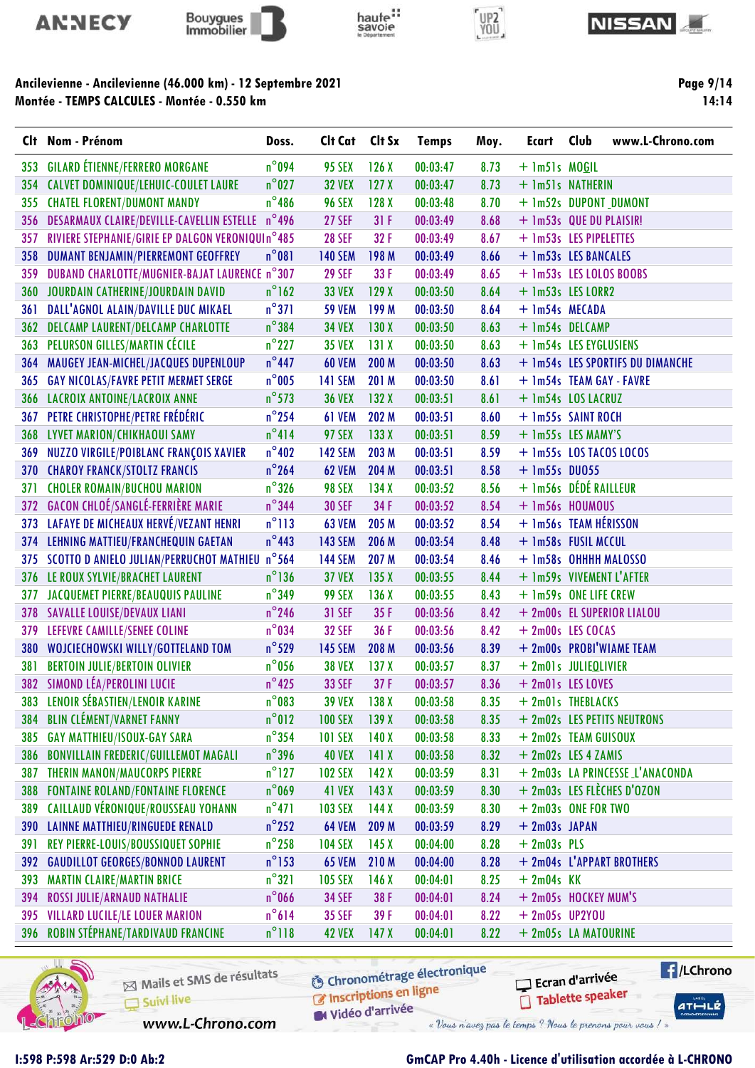









Page 9/14 14:14

|            | Clt Nom - Prénom                                   | Doss.           | Clt Cat        | Clt Sx           | <b>Temps</b> | Moy. | Ecart                    | Club | www.L-Chrono.com                 |
|------------|----------------------------------------------------|-----------------|----------------|------------------|--------------|------|--------------------------|------|----------------------------------|
| 353        | <b>GILARD ÉTIENNE/FERRERO MORGANE</b>              | $n^{\circ}$ 094 | <b>95 SEX</b>  | 126X             | 00:03:47     | 8.73 | $+$ 1m51s MOGIL          |      |                                  |
| 354        | CALVET DOMINIQUE/LEHUIC-COULET LAURE               | $n^{\circ}$ 027 | <b>32 VEX</b>  | 127 <sub>X</sub> | 00:03:47     | 8.73 | + 1m51s NATHERIN         |      |                                  |
| 355        | <b>CHATEL FLORENT/DUMONT MANDY</b>                 | $n^{\circ}$ 486 | <b>96 SEX</b>  | 128X             | 00:03:48     | 8.70 | + 1m52s DUPONT_DUMONT    |      |                                  |
| 356        | DESARMAUX CLAIRE/DEVILLE-CAVELLIN ESTELLE          | $n^{\circ}$ 496 | <b>27 SEF</b>  | 31F              | 00:03:49     | 8.68 | + 1m53s QUE DU PLAISIR!  |      |                                  |
| 357        | RIVIERE STEPHANIE/GIRIE EP DALGON VERONIQUIn°485   |                 | <b>28 SEF</b>  | 32F              | 00:03:49     | 8.67 | + 1m53s LES PIPELETTES   |      |                                  |
| 358        | <b>DUMANT BENJAMIN/PIERREMONT GEOFFREY</b>         | $n^{\circ}081$  | <b>140 SEM</b> | 198 M            | 00:03:49     | 8.66 | + 1m53s LES BANCALES     |      |                                  |
| 359        | DUBAND CHARLOTTE/MUGNIER-BAJAT LAURENCE n°307      |                 | <b>29 SEF</b>  | 33 F             | 00:03:49     | 8.65 | + 1m53s LES LOLOS BOOBS  |      |                                  |
|            | 360 JOURDAIN CATHERINE/JOURDAIN DAVID              | $n^{\circ}$ 162 | <b>33 VEX</b>  | 129X             | 00:03:50     | 8.64 | + 1m53s LES LORR2        |      |                                  |
| 361        | DALL'AGNOL ALAIN/DAVILLE DUC MIKAEL                | $n^{\circ}371$  | <b>59 VEM</b>  | 199 M            | 00:03:50     | 8.64 | + 1m54s MECADA           |      |                                  |
| 362        | DELCAMP LAURENT/DELCAMP CHARLOTTE                  | $n^{\circ}$ 384 | <b>34 VEX</b>  | 130X             | 00:03:50     | 8.63 | + 1m54s DELCAMP          |      |                                  |
| 363        | PELURSON GILLES/MARTIN CÉCILE                      | $n^{\circ}$ 227 | <b>35 VEX</b>  | 131X             | 00:03:50     | 8.63 | + 1m54s LES EYGLUSIENS   |      |                                  |
| 364        | MAUGEY JEAN-MICHEL/JACQUES DUPENLOUP               | $n^{\circ}$ 447 | <b>60 VEM</b>  | 200 M            | 00:03:50     | 8.63 |                          |      | + 1m54s LES SPORTIFS DU DIMANCHE |
| 365        | <b>GAY NICOLAS/FAVRE PETIT MERMET SERGE</b>        | $n^{\circ}$ 005 | <b>141 SEM</b> | 201 M            | 00:03:50     | 8.61 | + 1m54s TEAM GAY - FAVRE |      |                                  |
| 366        | LACROIX ANTOINE/LACROIX ANNE                       | $n^{\circ}$ 573 | <b>36 VEX</b>  | 132X             | 00:03:51     | 8.61 | + 1m54s LOS LACRUZ       |      |                                  |
| 367        | PETRE CHRISTOPHE/PETRE FRÉDÉRIC                    | $n^{\circ}$ 254 | 61 VEM         | 202 M            | 00:03:51     | 8.60 | + 1m55s SAINT ROCH       |      |                                  |
| 368        | LYVET MARION/CHIKHAOUI SAMY                        | $n^{\circ}414$  | <b>97 SEX</b>  | 133X             | 00:03:51     | 8.59 | + 1m55s LES MAMY'S       |      |                                  |
| 369        | NUZZO VIRGILE/POIBLANC FRANÇOIS XAVIER             | $n^{\circ}402$  | <b>142 SEM</b> | 203 M            | 00:03:51     | 8.59 | + 1m55s LOS TACOS LOCOS  |      |                                  |
| 370        | <b>CHAROY FRANCK/STOLTZ FRANCIS</b>                | $n^{\circ}$ 264 | <b>62 VEM</b>  | 204 M            | 00:03:51     | 8.58 | $+$ 1m55s DU055          |      |                                  |
| 371        | <b>CHOLER ROMAIN/BUCHOU MARION</b>                 | $n^{\circ}326$  | <b>98 SEX</b>  | 134X             | 00:03:52     | 8.56 | + 1m56s DÉDÉ RAILLEUR    |      |                                  |
|            | 372 GACON CHLOÉ/SANGLÉ-FERRIÈRE MARIE              | $n^{\circ}$ 344 | <b>30 SEF</b>  | 34 F             | 00:03:52     | 8.54 | + 1m56s HOUMOUS          |      |                                  |
| 373        | LAFAYE DE MICHEAUX HERVÉ/VEZANT HENRI              | $n^{\circ}$ 113 | <b>63 VEM</b>  | 205 M            | 00:03:52     | 8.54 | + 1m56s TEAM HÉRISSON    |      |                                  |
| 374        | LEHNING MATTIEU/FRANCHEQUIN GAETAN                 | $n^{\circ}$ 443 | <b>143 SEM</b> | 206 M            | 00:03:54     | 8.48 | + 1m58s FUSIL MCCUL      |      |                                  |
|            | 375 SCOTTO D ANIELO JULIAN/PERRUCHOT MATHIEU n°564 |                 | <b>144 SEM</b> | 207 M            | 00:03:54     | 8.46 | + 1m58s OHHHH MALOSSO    |      |                                  |
|            | 376 LE ROUX SYLVIE/BRACHET LAURENT                 | $n^{\circ}$ 136 | <b>37 VEX</b>  | 135X             | 00:03:55     | 8.44 | + 1m59s VIVEMENT L'AFTER |      |                                  |
| 377        | <b>JACQUEMET PIERRE/BEAUQUIS PAULINE</b>           | $n^{\circ}$ 349 | <b>99 SEX</b>  | 136X             | 00:03:55     | 8.43 | + 1m59s ONE LIFE CREW    |      |                                  |
| 378        | <b>SAVALLE LOUISE/DEVAUX LIANI</b>                 | $n^{\circ}$ 246 | <b>31 SEF</b>  | 35F              | 00:03:56     | 8.42 |                          |      | + 2m00s EL SUPERIOR LIALOU       |
| 379        | LEFEVRE CAMILLE/SENEE COLINE                       | $n^{\circ}034$  | <b>32 SEF</b>  | 36 F             | 00:03:56     | 8.42 | + 2m00s LES COCAS        |      |                                  |
| 380        | WOJCIECHOWSKI WILLY/GOTTELAND TOM                  | $n^{\circ}$ 529 | <b>145 SEM</b> | 208 M            | 00:03:56     | 8.39 | + 2m00s PROBI'WIAME TEAM |      |                                  |
| 381        | <b>BERTOIN JULIE/BERTOIN OLIVIER</b>               | $n^{\circ}$ 056 | <b>38 VEX</b>  | 137X             | 00:03:57     | 8.37 | + 2m01s JULIEQLIVIER     |      |                                  |
|            | 382 SIMOND LÉA/PEROLINI LUCIE                      | $n^{\circ}$ 425 | <b>33 SEF</b>  | 37F              | 00:03:57     | 8.36 | + 2m01s LES LOVES        |      |                                  |
| 383        | LENOIR SÉBASTIEN/LENOIR KARINE                     | $n^{\circ}$ 083 | <b>39 VEX</b>  | 138X             | 00:03:58     | 8.35 | + 2m01s THEBLACKS        |      |                                  |
| 384        | <b>BLIN CLÉMENT/VARNET FANNY</b>                   | $n^{\circ}012$  | <b>100 SEX</b> | 139X             | 00:03:58     | 8.35 |                          |      | + 2m02s LES PETITS NEUTRONS      |
| 385        | <b>GAY MATTHIEU/ISOUX-GAY SARA</b>                 | $n^{\circ}$ 354 | <b>101 SEX</b> | 140X             | 00:03:58     | 8.33 | + 2m02s TEAM GUISOUX     |      |                                  |
| 386        | <b>BONVILLAIN FREDERIC/GUILLEMOT MAGALI</b>        | $n^{\circ}$ 396 | <b>40 VEX</b>  | 141X             | 00:03:58     | 8.32 | + 2m02s LES 4 ZAMIS      |      |                                  |
| 387        | <b>THERIN MANON/MAUCORPS PIERRE</b>                | $n^{\circ}$ 127 | <b>102 SEX</b> | 142X             | 00:03:59     | 8.31 |                          |      | + 2m03s LA PRINCESSE L'ANACONDA  |
| 388        | <b>FONTAINE ROLAND/FONTAINE FLORENCE</b>           | $n^{\circ}$ 069 | 41 VEX         | 143X             | 00:03:59     | 8.30 |                          |      | + 2m03s LES FLÈCHES D'OZON       |
| 389        | <b>CAILLAUD VÉRONIQUE/ROUSSEAU YOHANN</b>          | $n^{\circ}471$  | <b>103 SEX</b> | 144X             | 00:03:59     | 8.30 | + 2m03s ONE FOR TWO      |      |                                  |
| <b>390</b> | <b>LAINNE MATTHIEU/RINGUEDE RENALD</b>             | $n^{\circ}$ 252 | <b>64 VEM</b>  | 209 M            | 00:03:59     | 8.29 | $+ 2m03s$ JAPAN          |      |                                  |
| 391        | REY PIERRE-LOUIS/BOUSSIQUET SOPHIE                 | $n^{\circ}$ 258 | <b>104 SEX</b> | 145X             | 00:04:00     | 8.28 | $+ 2m03s$ PLS            |      |                                  |
|            | 392 GAUDILLOT GEORGES/BONNOD LAURENT               | $n^{\circ}$ 153 | <b>65 VEM</b>  | 210 M            | 00:04:00     | 8.28 |                          |      | + 2m04s L'APPART BROTHERS        |
| 393        | <b>MARTIN CLAIRE/MARTIN BRICE</b>                  | $n^{\circ}321$  | <b>105 SEX</b> | 146X             | 00:04:01     | 8.25 | $+2m04s$ KK              |      |                                  |
| 394        | ROSSI JULIE/ARNAUD NATHALIE                        | $n^{\circ}$ 066 | <b>34 SEF</b>  | 38 F             | 00:04:01     | 8.24 | + 2m05s HOCKEY MUM'S     |      |                                  |
| 395        | <b>VILLARD LUCILE/LE LOUER MARION</b>              | $n^{\circ}614$  | <b>35 SEF</b>  | 39F              | 00:04:01     | 8.22 | $+ 2m05s$ UP2YOU         |      |                                  |
|            | 396 ROBIN STÉPHANE/TARDIVAUD FRANCINE              | $n^{\circ}118$  | <b>42 VEX</b>  | 147 <sub>X</sub> | 00:04:01     | 8.22 | + 2m05s LA MATOURINE     |      |                                  |
|            |                                                    |                 |                |                  |              |      |                          |      |                                  |

haute:



Mails et SMS de résultats Suivi live

**6** Chronométrage électronique

C Inscriptions en ligne Vidéo d'arrivée

www.L-Chrono.com

## I:598 P:598 Ar:529 D:0 Ab:2 GmCAP Pro 4.40h - Licence d'utilisation accordée à L-CHRONO

Ecran d'arrivée

« Vous n'avez pas le temps ? Nous le prenons pour vous / »

Tablette speaker

**E** /LChrono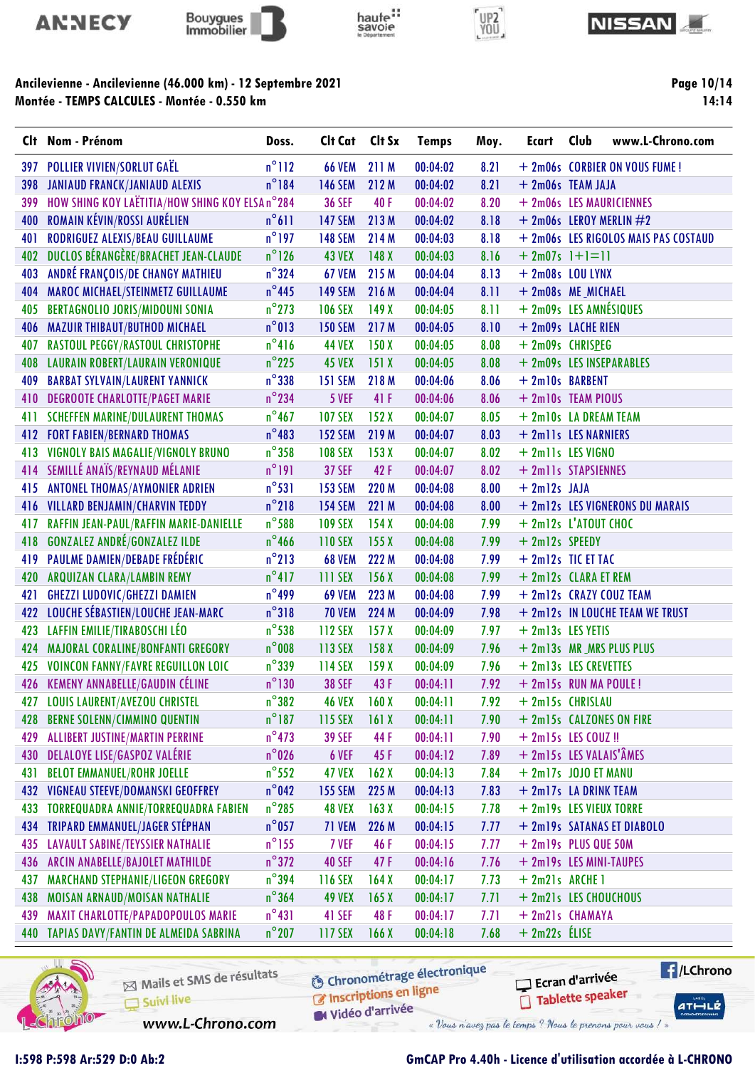









|     | Clt Nom - Prénom                                | Doss.           | Clt Cat        | Clt Sx | <b>Temps</b> | Moy. | Ecart                       | Club | www.L-Chrono.com                     |
|-----|-------------------------------------------------|-----------------|----------------|--------|--------------|------|-----------------------------|------|--------------------------------------|
| 397 | <b>POLLIER VIVIEN/SORLUT GAËL</b>               | $n^{\circ}$ 112 | <b>66 VEM</b>  | 211 M  | 00:04:02     | 8.21 |                             |      | + 2m06s CORBIER ON VOUS FUME!        |
| 398 | <b>JANIAUD FRANCK/JANIAUD ALEXIS</b>            | $n^{\circ}184$  | <b>146 SEM</b> | 212 M  | 00:04:02     | 8.21 | + 2m06s TEAM JAJA           |      |                                      |
| 399 | HOW SHING KOY LAËTITIA/HOW SHING KOY ELSA n°284 |                 | <b>36 SEF</b>  | 40F    | 00:04:02     | 8.20 |                             |      | + 2m06s LES MAURICIENNES             |
| 400 | ROMAIN KÉVIN/ROSSI AURÉLIEN                     | $n^{\circ}611$  | <b>147 SEM</b> | 213M   | 00:04:02     | 8.18 | $+$ 2m06s LEROY MERLIN $#2$ |      |                                      |
| 401 | RODRIGUEZ ALEXIS/BEAU GUILLAUME                 | $n^{\circ}$ 197 | <b>148 SEM</b> | 214 M  | 00:04:03     | 8.18 |                             |      | + 2m06s LES RIGOLOS MAIS PAS COSTAUD |
| 402 | DUCLOS BÉRANGÈRE/BRACHET JEAN-CLAUDE            | $n^{\circ}$ 126 | <b>43 VEX</b>  | 148 X  | 00:04:03     | 8.16 | $+ 2m07s$ $] + ] = ]$       |      |                                      |
| 403 | ANDRÉ FRANÇOIS/DE CHANGY MATHIEU                | $n^{\circ}324$  | 67 VEM         | 215 M  | 00:04:04     | 8.13 | $+ 2m08s$ LOU LYNX          |      |                                      |
| 404 | MAROC MICHAEL/STEINMETZ GUILLAUME               | $n^{\circ}$ 445 | <b>149 SEM</b> | 216 M  | 00:04:04     | 8.11 | + 2m08s ME_MICHAEL          |      |                                      |
| 405 | <b>BERTAGNOLIO JORIS/MIDOUNI SONIA</b>          | $n^{\circ}$ 273 | <b>106 SEX</b> | 149X   | 00:04:05     | 8.11 | + 2m09s LES AMNÉSIQUES      |      |                                      |
| 406 | <b>MAZUIR THIBAUT/BUTHOD MICHAEL</b>            | $n^{\circ}013$  | <b>150 SEM</b> | 217 M  | 00:04:05     | 8.10 | + 2m09s LACHE RIEN          |      |                                      |
| 407 | RASTOUL PEGGY/RASTOUL CHRISTOPHE                | $n^{\circ}416$  | <b>44 VEX</b>  | 150X   | 00:04:05     | 8.08 | + 2m09s CHRISPEG            |      |                                      |
| 408 | <b>LAURAIN ROBERT/LAURAIN VERONIQUE</b>         | $n^{\circ}$ 225 | <b>45 VEX</b>  | 151X   | 00:04:05     | 8.08 | + 2m09s LES INSEPARABLES    |      |                                      |
| 409 | <b>BARBAT SYLVAIN/LAURENT YANNICK</b>           | $n^{\circ}338$  | <b>151 SEM</b> | 218 M  | 00:04:06     | 8.06 | + 2ml0s BARBENT             |      |                                      |
| 410 | <b>DEGROOTE CHARLOTTE/PAGET MARIE</b>           | $n^{\circ}$ 234 | 5 VEF          | 41 F   | 00:04:06     | 8.06 | + 2m10s TEAM PIOUS          |      |                                      |
| 411 | <b>SCHEFFEN MARINE/DULAURENT THOMAS</b>         | $n^{\circ}$ 467 | <b>107 SEX</b> | 152X   | 00:04:07     | 8.05 | + 2m10s LA DREAM TEAM       |      |                                      |
|     | <b>412 FORT FABIEN/BERNARD THOMAS</b>           | $n^{\circ}483$  | <b>152 SEM</b> | 219 M  | 00:04:07     | 8.03 | + 2mlls LES NARNIERS        |      |                                      |
| 413 | VIGNOLY BAIS MAGALIE/VIGNOLY BRUNO              | $n^{\circ}$ 358 | <b>108 SEX</b> | 153X   | 00:04:07     | 8.02 | + 2mlls LES VIGNO           |      |                                      |
|     | 414 SEMILLÉ ANAÏS/REYNAUD MÉLANIE               | $n^{\circ}$ 191 | <b>37 SEF</b>  | 42F    | 00:04:07     | 8.02 | + 2mlls STAPSIENNES         |      |                                      |
| 415 | <b>ANTONEL THOMAS/AYMONIER ADRIEN</b>           | $n^{\circ}531$  | <b>153 SEM</b> | 220 M  | 00:04:08     | 8.00 | $+ 2m12s$ JAJA              |      |                                      |
|     | 416 VILLARD BENJAMIN/CHARVIN TEDDY              | $n^{\circ}$ 218 | <b>154 SEM</b> | 221 M  | 00:04:08     | 8.00 |                             |      | + 2m12s LES VIGNERONS DU MARAIS      |
| 417 | RAFFIN JEAN-PAUL/RAFFIN MARIE-DANIELLE          | $n^{\circ}$ 588 | <b>109 SEX</b> | 154X   | 00:04:08     | 7.99 | + 2m12s L'ATOUT CHOC        |      |                                      |
| 418 | <b>GONZALEZ ANDRÉ/GONZALEZ ILDE</b>             | $n^{\circ}$ 466 | <b>110 SEX</b> | 155X   | 00:04:08     | 7.99 | + 2m12s SPEEDY              |      |                                      |
| 419 | <b>PAULME DAMIEN/DEBADE FRÉDÉRIC</b>            | $n^{\circ}$ 213 | <b>68 VEM</b>  | 222 M  | 00:04:08     | 7.99 | + 2m12s TIC ET TAC          |      |                                      |
| 420 | <b>ARQUIZAN CLARA/LAMBIN REMY</b>               | $n^{\circ}417$  | 111 SEX        | 156X   | 00:04:08     | 7.99 | + 2m12s CLARA ET REM        |      |                                      |
| 421 | <b>GHEZZI LUDOVIC/GHEZZI DAMIEN</b>             | $n^{\circ}$ 499 | <b>69 VEM</b>  | 223 M  | 00:04:08     | 7.99 |                             |      | + 2m12s CRAZY COUZ TEAM              |
| 422 | LOUCHE SÉBASTIEN/LOUCHE JEAN-MARC               | $n^{\circ}318$  | <b>70 VEM</b>  | 224 M  | 00:04:09     | 7.98 |                             |      | + 2m12s IN LOUCHE TEAM WE TRUST      |
| 423 | LAFFIN EMILIE/TIRABOSCHI LÉO                    | $n^{\circ}$ 538 | 112 SEX        | 157X   | 00:04:09     | 7.97 | + 2m13s LES YETIS           |      |                                      |
| 424 | MAJORAL CORALINE/BONFANTI GREGORY               | $n^{\circ}$ 008 | 113 SEX        | 158X   | 00:04:09     | 7.96 |                             |      | + 2m13s MR_MRS PLUS PLUS             |
| 425 | <b>VOINCON FANNY/FAVRE REGUILLON LOIC</b>       | $n^{\circ}$ 339 | 114 SEX        | 159X   | 00:04:09     | 7.96 | + 2m13s LES CREVETTES       |      |                                      |
|     | 426 KEMENY ANNABELLE/GAUDIN CÉLINE              | $n^{\circ}$ 130 | <b>38 SEF</b>  | 43F    | 00:04:11     | 7.92 | + 2m15s RUN MA POULE!       |      |                                      |
| 427 | LOUIS LAURENT/AVEZOU CHRISTEL                   | $n^{\circ}382$  | <b>46 VEX</b>  | 160X   | 00:04:11     | 7.92 | + 2m15s CHRISLAU            |      |                                      |
| 428 | <b>BERNE SOLENN/CIMMINO QUENTIN</b>             | $n^{\circ}$ 187 | 115 SEX        | 161X   | 00:04:11     | 7.90 |                             |      | + 2m15s CALZONES ON FIRE             |
| 429 | <b>ALLIBERT JUSTINE/MARTIN PERRINE</b>          | $n^{\circ}$ 473 | <b>39 SEF</b>  | 44 F   | 00:04:11     | 7.90 | + 2m15s LES COUZ !!         |      |                                      |
| 430 | <b>DELALOYE LISE/GASPOZ VALÉRIE</b>             | $n^{\circ}$ 026 | 6 VEF          | 45 F   | 00:04:12     | 7.89 | + 2m15s LES VALAIS'ÂMES     |      |                                      |
| 431 | <b>BELOT EMMANUEL/ROHR JOELLE</b>               | $n^{\circ}$ 552 | <b>47 VEX</b>  | 162X   | 00:04:13     | 7.84 | $+ 2m17s$ JOJO ET MANU      |      |                                      |
| 432 | VIGNEAU STEEVE/DOMANSKI GEOFFREY                | $n^{\circ}$ 042 | <b>155 SEM</b> | 225 M  | 00:04:13     | 7.83 | + 2m17s LA DRINK TEAM       |      |                                      |
| 433 | <b>TORREQUADRA ANNIE/TORREQUADRA FABIEN</b>     | $n^{\circ}$ 285 | <b>48 VEX</b>  | 163X   | 00:04:15     | 7.78 | + 2m19s LES VIEUX TORRE     |      |                                      |
| 434 | TRIPARD EMMANUEL/JAGER STÉPHAN                  | $n^{\circ}$ 057 | 71 VEM         | 226 M  | 00:04:15     | 7.77 |                             |      | + 2m19s SATANAS ET DIABOLO           |
| 435 | <b>LAVAULT SABINE/TEYSSIER NATHALIE</b>         | $n^{\circ}$ 155 | 7 VEF          | 46 F   | 00:04:15     | 7.77 | + 2m19s PLUS QUE 50M        |      |                                      |
| 436 | ARCIN ANABELLE/BAJOLET MATHILDE                 | $n^{\circ}372$  | <b>40 SEF</b>  | 47 F   | 00:04:16     | 7.76 | + 2m19s LES MINI-TAUPES     |      |                                      |
| 437 | MARCHAND STEPHANIE/LIGEON GREGORY               | $n^{\circ}$ 394 | 116 SEX        | 164X   | 00:04:17     | 7.73 | $+ 2m21s$ ARCHE 1           |      |                                      |
| 438 | MOISAN ARNAUD/MOISAN NATHALIE                   | $n^{\circ}364$  | <b>49 VEX</b>  | 165X   | 00:04:17     | 7.71 | + 2m21s LES CHOUCHOUS       |      |                                      |
| 439 | <b>MAXIT CHARLOTTE/PAPADOPOULOS MARIE</b>       | $n^{\circ}431$  | 41 SEF         | 48F    | 00:04:17     | 7.71 | + 2m21s CHAMAYA             |      |                                      |
| 440 | <b>TAPIAS DAVY/FANTIN DE ALMEIDA SABRINA</b>    | $n^{\circ}$ 207 | 117 SEX        | 166X   | 00:04:18     | 7.68 | $+ 2m22s$ ELISE             |      |                                      |



Mails et SMS de résultats Suivi live

**6** Chronométrage électronique Inscriptions en ligne

**E** /LChrono Ecran d'arrivée Tablette speaker

 $ATHLZ$ 

Widéo d'arrivée

www.L-Chrono.com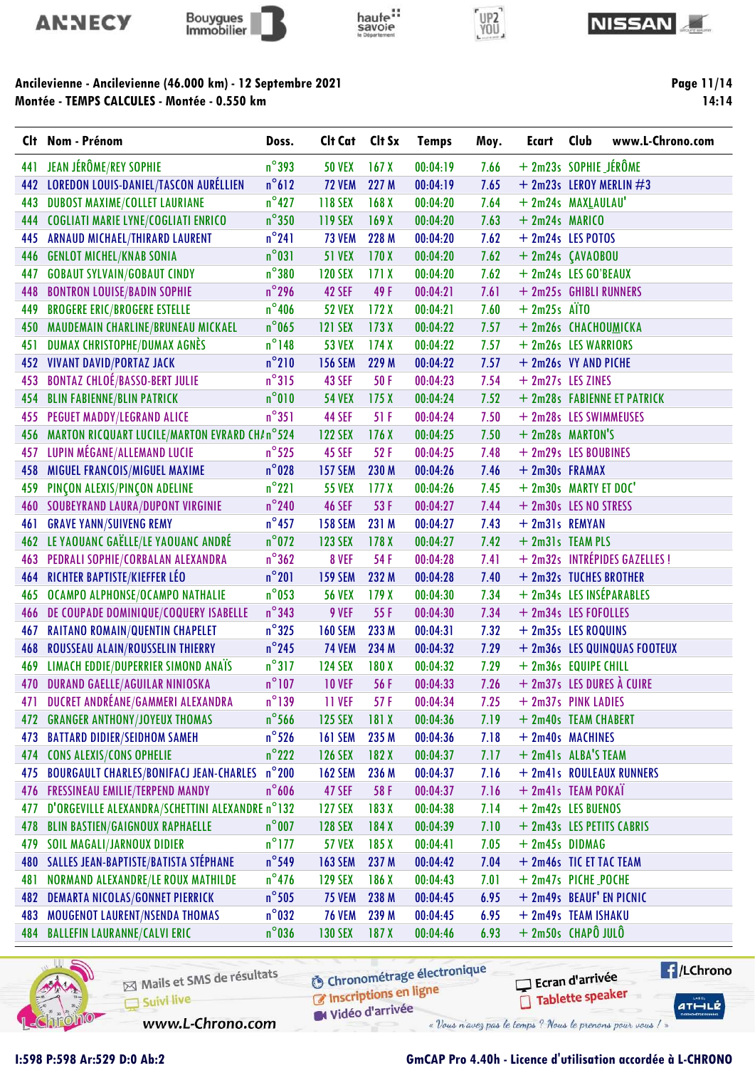







Page 11/14  $14:14$ 

## Ancilevienne - Ancilevienne (46.000 km) - 12 Septembre 2021 Montée - TEMPS CALCULES - Montée - 0.550 km

|     | Clt Nom - Prénom                                     | Doss.           | Clt Cat        | Clt Sx           | <b>Temps</b> | Moy. | Ecart            | Club<br>www.L-Chrono.com      |
|-----|------------------------------------------------------|-----------------|----------------|------------------|--------------|------|------------------|-------------------------------|
| 441 | JEAN JÉRÔME/REY SOPHIE                               | $n^{\circ}$ 393 | <b>50 VEX</b>  | 167 <sub>X</sub> | 00:04:19     | 7.66 |                  | $+ 2m23s$ SOPHIE JÉRÔME       |
| 442 | <b>LOREDON LOUIS-DANIEL/TASCON AURÉLLIEN</b>         | $n^{\circ}612$  | <b>72 VEM</b>  | 227 M            | 00:04:19     | 7.65 |                  | $+$ 2m23s LEROY MERLIN $\#3$  |
| 443 | <b>DUBOST MAXIME/COLLET LAURIANE</b>                 | $n^{\circ}$ 427 | 118 SEX        | 168 <sub>X</sub> | 00:04:20     | 7.64 |                  | + 2m24s MAXLAULAU'            |
|     | 444 COGLIATI MARIE LYNE/COGLIATI ENRICO              | $n^{\circ}350$  | 119 SEX        | 169X             | 00:04:20     | 7.63 | $+ 2m24s$ MARICO |                               |
| 445 | ARNAUD MICHAEL/THIRARD LAURENT                       | $n^{\circ}241$  | <b>73 VEM</b>  | 228 M            | 00:04:20     | 7.62 |                  | + 2m24s LES POTOS             |
| 446 | <b>GENLOT MICHEL/KNAB SONIA</b>                      | $n^{\circ}031$  | <b>51 VEX</b>  | 170X             | 00:04:20     | 7.62 |                  | + 2m24s ÇAVAOBOU              |
| 447 | <b>GOBAUT SYLVAIN/GOBAUT CINDY</b>                   | $n^{\circ}380$  | <b>120 SEX</b> | 171X             | 00:04:20     | 7.62 |                  | + 2m24s LES GO'BEAUX          |
| 448 | <b>BONTRON LOUISE/BADIN SOPHIE</b>                   | $n^{\circ}$ 296 | 42 SEF         | 49 F             | 00:04:21     | 7.61 |                  | + 2m25s GHIBLI RUNNERS        |
| 449 | <b>BROGERE ERIC/BROGERE ESTELLE</b>                  | $n^{\circ}$ 406 | <b>52 VEX</b>  | 172X             | 00:04:21     | 7.60 | $+ 2m25s$ ATTO   |                               |
|     | 450 MAUDEMAIN CHARLINE/BRUNEAU MICKAEL               | $n^{\circ}$ 065 | <b>121 SEX</b> | 173X             | 00:04:22     | 7.57 |                  | + 2m26s CHACHOUMICKA          |
| 451 | DUMAX CHRISTOPHE/DUMAX AGNÈS                         | $n^{\circ}$ 148 | <b>53 VEX</b>  | 174X             | 00:04:22     | 7.57 |                  | + 2m26s LES WARRIORS          |
| 452 | <b>VIVANT DAVID/PORTAZ JACK</b>                      | $n^{\circ}210$  | <b>156 SEM</b> | 229 M            | 00:04:22     | 7.57 |                  | + 2m26s VY AND PICHE          |
| 453 | <b>BONTAZ CHLOÉ/BASSO-BERT JULIE</b>                 | $n^{\circ}315$  | 43 SEF         | 50F              | 00:04:23     | 7.54 |                  | $+2m27s$ LES ZINES            |
| 454 | <b>BLIN FABIENNE/BLIN PATRICK</b>                    | $n^{\circ}010$  | <b>54 VEX</b>  | 175X             | 00:04:24     | 7.52 |                  | + 2m28s FABIENNE ET PATRICK   |
| 455 | PEGUET MADDY/LEGRAND ALICE                           | $n^{\circ}351$  | 44 SEF         | 51F              | 00:04:24     | 7.50 |                  | + 2m28s LES SWIMMEUSES        |
|     | 456 MARTON RICQUART LUCILE/MARTON EVRARD CH/n°524    |                 | <b>122 SEX</b> | 176X             | 00:04:25     | 7.50 |                  | $+ 2m28s$ MARTON'S            |
| 457 | LUPIN MÉGANE/ALLEMAND LUCIE                          | $n^{\circ}$ 525 | <b>45 SEF</b>  | 52F              | 00:04:25     | 7.48 |                  | + 2m29s LES BOUBINES          |
| 458 | MIGUEL FRANCOIS/MIGUEL MAXIME                        | $n^{\circ}$ 028 | <b>157 SEM</b> | 230 M            | 00:04:26     | 7.46 | + 2m30s FRAMAX   |                               |
| 459 | PINÇON ALEXIS/PINÇON ADELINE                         | $n^{\circ}221$  | <b>55 VEX</b>  | 177 <sub>X</sub> | 00:04:26     | 7.45 |                  | + 2m30s MARTY ET DOC'         |
|     | <b>460 SOUBEYRAND LAURA/DUPONT VIRGINIE</b>          | $n^{\circ}$ 240 | <b>46 SEF</b>  | 53 F             | 00:04:27     | 7.44 |                  | + 2m30s LES NO STRESS         |
| 461 | <b>GRAVE YANN/SUIVENG REMY</b>                       | $n^{\circ}$ 457 | <b>158 SEM</b> | 231 M            | 00:04:27     | 7.43 | + 2m31s REMYAN   |                               |
|     | 462 LE YAOUANC GAËLLE/LE YAOUANC ANDRÉ               | $n^{\circ}$ 072 | <b>123 SEX</b> | 178X             | 00:04:27     | 7.42 |                  | + 2m31s TEAM PLS              |
| 463 | PEDRALI SOPHIE/CORBALAN ALEXANDRA                    | $n^{\circ}362$  | 8 VEF          | 54 F             | 00:04:28     | 7.41 |                  | + 2m32s INTRÉPIDES GAZELLES ! |
| 464 | RICHTER BAPTISTE/KIEFFER LÉO                         | $n^{\circ}201$  | <b>159 SEM</b> | 232 M            | 00:04:28     | 7.40 |                  | + 2m32s TUCHES BROTHER        |
| 465 | OCAMPO ALPHONSE/OCAMPO NATHALIE                      | $n^{\circ}$ 053 | <b>56 VEX</b>  | 179X             | 00:04:30     | 7.34 |                  | + 2m34s LES INSÉPARABLES      |
| 466 | DE COUPADE DOMINIQUE/COQUERY ISABELLE                | $n^{\circ}$ 343 | 9 VEF          | 55 F             | 00:04:30     | 7.34 |                  | + 2m34s LES FOFOLLES          |
| 467 | <b>RAITANO ROMAIN/QUENTIN CHAPELET</b>               | $n^{\circ}325$  | <b>160 SEM</b> | 233 M            | 00:04:31     | 7.32 |                  | + 2m35s LES ROQUINS           |
| 468 | ROUSSEAU ALAIN/ROUSSELIN THIERRY                     | $n^{\circ}$ 245 | <b>74 VEM</b>  | 234 M            | 00:04:32     | 7.29 |                  | + 2m36s LES QUINQUAS FOOTEUX  |
| 469 | LIMACH EDDIE/DUPERRIER SIMOND ANAÏS                  | $n^{\circ}317$  | <b>124 SEX</b> | 180 X            | 00:04:32     | 7.29 |                  | + 2m36s EQUIPE CHILL          |
| 470 | DURAND GAELLE/AGUILAR NINIOSKA                       | $n^{\circ}$ 107 | <b>10 VEF</b>  | 56 F             | 00:04:33     | 7.26 |                  | + 2m37s LES DURES À CUIRE     |
| 471 | DUCRET ANDRÉANE/GAMMERI ALEXANDRA                    | $n^{\circ}139$  | <b>11 VEF</b>  | 57 F             | 00:04:34     | 7.25 |                  | + 2m37s PINK LADIES           |
| 472 | <b>GRANGER ANTHONY/JOYEUX THOMAS</b>                 | $n^{\circ}$ 566 | <b>125 SEX</b> | 181X             | 00:04:36     | 7.19 |                  | + 2m40s TEAM CHABERT          |
| 473 | <b>BATTARD DIDIER/SEIDHOM SAMEH</b>                  | $n^{\circ}$ 526 | <b>161 SEM</b> | 235 M            | 00:04:36     | 7.18 |                  | + 2m40s MACHINES              |
| 474 | <b>CONS ALEXIS/CONS OPHELIE</b>                      | $n^{\circ}$ 222 | <b>126 SEX</b> | 182X             | 00:04:37     | 7.17 |                  | + 2m41s ALBA'S TEAM           |
| 475 | <b>BOURGAULT CHARLES/BONIFACJ JEAN-CHARLES</b> n°200 |                 | <b>162 SEM</b> | 236 M            | 00:04:37     | 7.16 |                  | + 2m41s ROULEAUX RUNNERS      |
| 476 | FRESSINEAU EMILIE/TERPEND MANDY                      | $n^{\circ}$ 606 | 47 SEF         | 58 F             | 00:04:37     | 7.16 |                  | + 2m41s TEAM POKAÏ            |
| 477 | D'ORGEVILLE ALEXANDRA/SCHETTINI ALEXANDRE n°132      |                 | <b>127 SEX</b> | 183X             | 00:04:38     | 7.14 |                  | + 2m42s LES BUENOS            |
| 478 | <b>BLIN BASTIEN/GAIGNOUX RAPHAELLE</b>               | $n^{\circ}$ 007 | <b>128 SEX</b> | 184 X            | 00:04:39     | 7.10 |                  | + 2m43s LES PETITS CABRIS     |
| 479 | <b>SOIL MAGALI/JARNOUX DIDIER</b>                    | $n^{\circ}$ 177 | <b>57 VEX</b>  | 185X             | 00:04:41     | 7.05 | $+ 2m45s$ DIDMAG |                               |
| 480 | SALLES JEAN-BAPTISTE/BATISTA STÉPHANE                | $n^{\circ}$ 549 | <b>163 SEM</b> | 237 M            | 00:04:42     | 7.04 |                  | + 2m46s TIC ET TAC TEAM       |
| 481 | NORMAND ALEXANDRE/LE ROUX MATHILDE                   | $n^{\circ}$ 476 | <b>129 SEX</b> | 186X             | 00:04:43     | 7.01 |                  | + 2m47s PICHE_POCHE           |
| 482 | <b>DEMARTA NICOLAS/GONNET PIERRICK</b>               | $n^{\circ}$ 505 | <b>75 VEM</b>  | 238 M            | 00:04:45     | 6.95 |                  | + 2m49s BEAUF' EN PICNIC      |
| 483 | <b>MOUGENOT LAURENT/NSENDA THOMAS</b>                | $n^{\circ}$ 032 | <b>76 VEM</b>  | 239 M            | 00:04:45     | 6.95 |                  | + 2m49s TEAM ISHAKU           |
| 484 | <b>BALLEFIN LAURANNE/CALVI ERIC</b>                  | $n^{\circ}$ 036 | <b>130 SEX</b> | 187 <sub>X</sub> | 00:04:46     | 6.93 |                  | $+ 2m50s$ CHAPÔ JULÔ          |



Mails et SMS de résultats Suivi live

**6** Chronométrage électronique

**E** /LChrono Ecran d'arrivée Tablette speaker

 $ATHLZ$ 

Inscriptions en ligne W Vidéo d'arrivée

www.L-Chrono.com

1:598 P:598 Ar:529 D:0 Ab:2

GmCAP Pro 4.40h - Licence d'utilisation accordée à L-CHRONO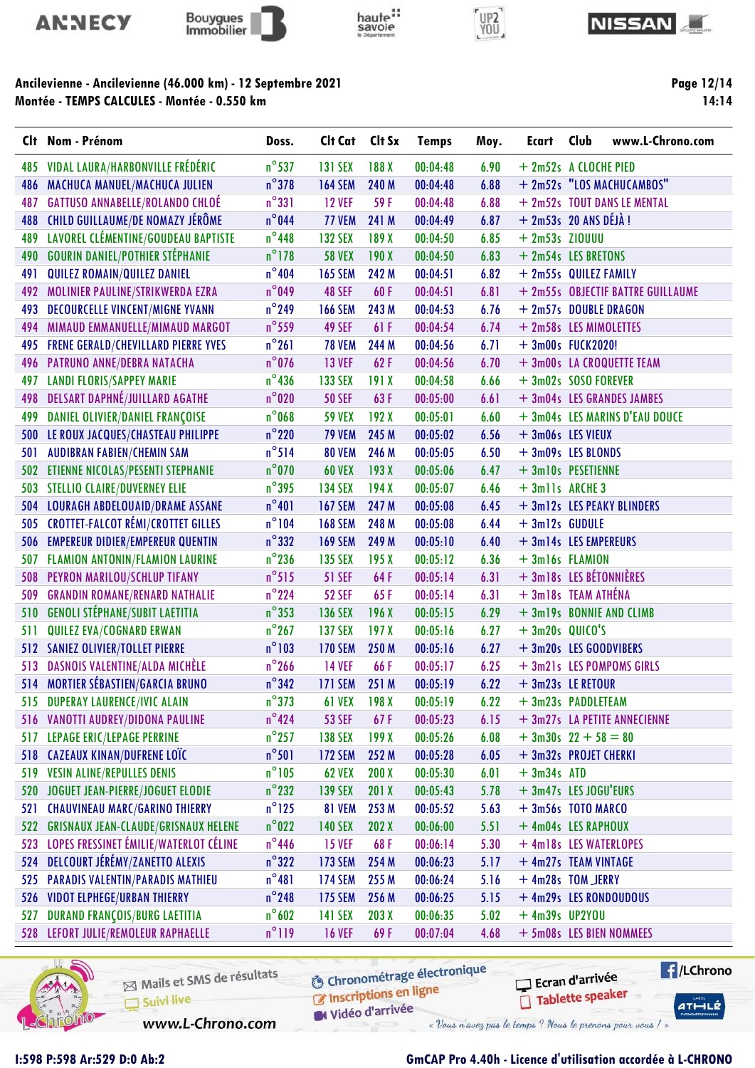









Page 12/14 14:14

|     | Clt Nom - Prénom                           | Doss.           | Clt Cat        | Clt Sx | <b>Temps</b> | Moy. | <b>Ecart</b>            | Club | www.L-Chrono.com                  |
|-----|--------------------------------------------|-----------------|----------------|--------|--------------|------|-------------------------|------|-----------------------------------|
| 485 | VIDAL LAURA/HARBONVILLE FRÉDÉRIC           | $n^{\circ}$ 537 | <b>131 SEX</b> | 188 X  | 00:04:48     | 6.90 | + 2m52s A CLOCHE PIED   |      |                                   |
| 486 | MACHUCA MANUEL/MACHUCA JULIEN              | $n^{\circ}$ 378 | <b>164 SEM</b> | 240 M  | 00:04:48     | 6.88 |                         |      | + 2m52s "LOS MACHUCAMBOS"         |
| 487 | <b>GATTUSO ANNABELLE/ROLANDO CHLOÉ</b>     | $n^{\circ}331$  | <b>12 VEF</b>  | 59F    | 00:04:48     | 6.88 |                         |      | + 2m52s TOUT DANS LE MENTAL       |
| 488 | <b>CHILD GUILLAUME/DE NOMAZY JÉRÔME</b>    | $n^{\circ}$ 044 | <b>77 VEM</b>  | 241 M  | 00:04:49     | 6.87 | $+ 2m53s$ 20 ANS DÉJÀ ! |      |                                   |
| 489 | LAVOREL CLÉMENTINE/GOUDEAU BAPTISTE        | $n^{\circ}$ 448 | <b>132 SEX</b> | 189 X  | 00:04:50     | 6.85 | $+ 2m53s$ ZIOUUU        |      |                                   |
| 490 | <b>GOURIN DANIEL/POTHIER STÉPHANIE</b>     | $n^{\circ}$ 178 | <b>58 VEX</b>  | 190X   | 00:04:50     | 6.83 | + 2m54s LES BRETONS     |      |                                   |
| 491 | QUILEZ ROMAIN/QUILEZ DANIEL                | $n^{\circ}404$  | <b>165 SEM</b> | 242 M  | 00:04:51     | 6.82 | + 2m55s QUILEZ FAMILY   |      |                                   |
| 492 | MOLINIER PAULINE/STRIKWERDA EZRA           | $n^{\circ}$ 049 | <b>48 SEF</b>  | 60F    | 00:04:51     | 6.81 |                         |      | + 2m55s OBJECTIF BATTRE GUILLAUME |
| 493 | <b>DECOURCELLE VINCENT/MIGNE YVANN</b>     | $n^{\circ}$ 249 | <b>166 SEM</b> | 243 M  | 00:04:53     | 6.76 | + 2m57s DOUBLE DRAGON   |      |                                   |
| 494 | MIMAUD EMMANUELLE/MIMAUD MARGOT            | $n^{\circ}$ 559 | 49 SEF         | 61F    | 00:04:54     | 6.74 | + 2m58s LES MIMOLETTES  |      |                                   |
| 495 | <b>FRENE GERALD/CHEVILLARD PIERRE YVES</b> | $n^{\circ}261$  | <b>78 VEM</b>  | 244 M  | 00:04:56     | 6.71 | + 3m00s FUCK2020!       |      |                                   |
| 496 | PATRUNO ANNE/DEBRA NATACHA                 | $n^{\circ}$ 076 | <b>13 VEF</b>  | 62F    | 00:04:56     | 6.70 |                         |      | + 3m00s LA CROQUETTE TEAM         |
| 497 | <b>LANDI FLORIS/SAPPEY MARIE</b>           | $n^{\circ}$ 436 | <b>133 SEX</b> | 191X   | 00:04:58     | 6.66 | + 3m02s SOSO FOREVER    |      |                                   |
| 498 | <b>DELSART DAPHNÉ/JUILLARD AGATHE</b>      | $n^{\circ}020$  | <b>50 SEF</b>  | 63F    | 00:05:00     | 6.61 |                         |      | + 3m04s LES GRANDES JAMBES        |
| 499 | DANIEL OLIVIER/DANIEL FRANÇOISE            | $n^{\circ}$ 068 | <b>59 VEX</b>  | 192X   | 00:05:01     | 6.60 |                         |      | + 3m04s LES MARINS D'EAU DOUCE    |
| 500 | LE ROUX JACQUES/CHASTEAU PHILIPPE          | $n^{\circ}$ 220 | <b>79 VEM</b>  | 245 M  | 00:05:02     | 6.56 | + 3m06s LES VIEUX       |      |                                   |
| 501 | <b>AUDIBRAN FABIEN/CHEMIN SAM</b>          | $n^{\circ}$ 514 | <b>80 VEM</b>  | 246 M  | 00:05:05     | 6.50 | + 3m09s LES BLONDS      |      |                                   |
| 502 | ETIENNE NICOLAS/PESENTI STEPHANIE          | $n^{\circ}$ 070 | <b>60 VEX</b>  | 193X   | 00:05:06     | 6.47 | + 3m10s PESETIENNE      |      |                                   |
|     | 503 STELLIO CLAIRE/DUVERNEY ELIE           | $n^{\circ}$ 395 | <b>134 SEX</b> | 194X   | 00:05:07     | 6.46 | + 3mlls ARCHE 3         |      |                                   |
| 504 | LOURAGH ABDELOUAID/DRAME ASSANE            | $n^{\circ}401$  | <b>167 SEM</b> | 247 M  | 00:05:08     | 6.45 |                         |      | + 3m12s LES PEAKY BLINDERS        |
| 505 | <b>CROTTET-FALCOT RÉMI/CROTTET GILLES</b>  | $n^{\circ}104$  | <b>168 SEM</b> | 248 M  | 00:05:08     | 6.44 | $+3ml2s$ GUDULE         |      |                                   |
| 506 | <b>EMPEREUR DIDIER/EMPEREUR QUENTIN</b>    | $n^{\circ}$ 332 | <b>169 SEM</b> | 249 M  | 00:05:10     | 6.40 | + 3m14s LES EMPEREURS   |      |                                   |
| 507 | FLAMION ANTONIN/FLAMION LAURINE            | $n^{\circ}$ 236 | <b>135 SEX</b> | 195X   | 00:05:12     | 6.36 | $+3ml6s$ FLAMION        |      |                                   |
| 508 | PEYRON MARILOU/SCHLUP TIFANY               | $n^{\circ}515$  | <b>51 SEF</b>  | 64F    | 00:05:14     | 6.31 | + 3m18s LES BÉTONNIÈRES |      |                                   |
| 509 | <b>GRANDIN ROMANE/RENARD NATHALIE</b>      | $n^{\circ}$ 224 | <b>52 SEF</b>  | 65F    | 00:05:14     | 6.31 | + 3m18s TEAM ATHÉNA     |      |                                   |
| 510 | <b>GENOLI STÉPHANE/SUBIT LAETITIA</b>      | $n^{\circ}353$  | <b>136 SEX</b> | 196X   | 00:05:15     | 6.29 |                         |      | + 3m19s BONNIE AND CLIMB          |
| 511 | QUILEZ EVA/COGNARD ERWAN                   | $n^{\circ}$ 267 | <b>137 SEX</b> | 197X   | 00:05:16     | 6.27 | $+3m20s$ QUICO'S        |      |                                   |
| 512 | <b>SANIEZ OLIVIER/TOLLET PIERRE</b>        | $n^{\circ}103$  | <b>170 SEM</b> | 250 M  | 00:05:16     | 6.27 | + 3m20s LES GOODVIBERS  |      |                                   |
| 513 | DASNOIS VALENTINE/ALDA MICHÈLE             | $n^{\circ}$ 266 | <b>14 VEF</b>  | 66F    | 00:05:17     | 6.25 |                         |      | + 3m21s LES POMPOMS GIRLS         |
|     | 514 MORTIER SÉBASTIEN/GARCIA BRUNO         | $n^{\circ}342$  | <b>171 SEM</b> | 251 M  | 00:05:19     | 6.22 | + 3m23s LE RETOUR       |      |                                   |
|     | 515 DUPERAY LAURENCE/IVIC ALAIN            | $n^{\circ}373$  | <b>61 VEX</b>  | 198X   | 00:05:19     | 6.22 | + 3m23s PADDLETEAM      |      |                                   |
|     | 516 VANOTTI AUDREY/DIDONA PAULINE          | $n^{\circ}$ 424 | <b>53 SEF</b>  | 67F    | 00:05:23     | 6.15 |                         |      | + 3m27s LA PETITE ANNECIENNE      |
| 517 | LEPAGE ERIC/LEPAGE PERRINE                 | $n^{\circ}$ 257 | <b>138 SEX</b> | 199X   | 00:05:26     | 6.08 | $+3m30s$ 22 + 58 = 80   |      |                                   |
|     | 518 CAZEAUX KINAN/DUFRENE LOÏC             | $n^{\circ}$ 501 | <b>172 SEM</b> | 252 M  | 00:05:28     | 6.05 | + 3m32s PROJET CHERKI   |      |                                   |
| 519 | <b>VESIN ALINE/REPULLES DENIS</b>          | $n^{\circ}105$  | <b>62 VEX</b>  | 200X   | 00:05:30     | 6.01 | $+3m34s$ ATD            |      |                                   |
| 520 | JOGUET JEAN-PIERRE/JOGUET ELODIE           | $n^{\circ}$ 232 | <b>139 SEX</b> | 201 X  | 00:05:43     | 5.78 | + 3m47s LES JOGU'EURS   |      |                                   |
| 521 | <b>CHAUVINEAU MARC/GARINO THIERRY</b>      | $n^{\circ}$ 125 | 81 VEM         | 253 M  | 00:05:52     | 5.63 | $+3m56s$ TOTO MARCO     |      |                                   |
|     | 522 GRISNAUX JEAN-CLAUDE/GRISNAUX HELENE   | $n^{\circ}$ 022 | <b>140 SEX</b> | 202 X  | 00:06:00     | 5.51 | + 4m04s LES RAPHOUX     |      |                                   |
| 523 | LOPES FRESSINET ÉMILIE/WATERLOT CÉLINE     | $n^{\circ}$ 446 | <b>15 VEF</b>  | 68F    | 00:06:14     | 5.30 | + 4m18s LES WATERLOPES  |      |                                   |
| 524 | DELCOURT JÉRÉMY/ZANETTO ALEXIS             | $n^{\circ}322$  | <b>173 SEM</b> | 254 M  | 00:06:23     | 5.17 | + 4m27s TEAM VINTAGE    |      |                                   |
| 525 | <b>PARADIS VALENTIN/PARADIS MATHIEU</b>    | $n^{\circ}481$  | <b>174 SEM</b> | 255 M  | 00:06:24     | 5.16 | + 4m28s TOM_JERRY       |      |                                   |
| 526 | <b>VIDOT ELPHEGE/URBAN THIERRY</b>         | $n^{\circ}$ 248 | <b>175 SEM</b> | 256 M  | 00:06:25     | 5.15 |                         |      | + 4m29s LES RONDOUDOUS            |
| 527 | <b>DURAND FRANÇOIS/BURG LAETITIA</b>       | $n^{\circ}602$  | <b>141 SEX</b> | 203 X  | 00:06:35     | 5.02 | $+$ 4m39s UP2YOU        |      |                                   |
|     | 528 LEFORT JULIE/REMOLEUR RAPHAELLE        | $n^{\circ}119$  | <b>16 VEF</b>  | 69F    | 00:07:04     | 4.68 |                         |      | + 5m08s LES BIEN NOMMEES          |

haute:



Mails et SMS de résultats Suivi live

**6** Chronométrage électronique

C Inscriptions en ligne Widéo d'arrivée

www.L-Chrono.com

« Vous n'avez pas le temps ? Nous le prenons pour vous / »

Ecran d'arrivée

Tablette speaker

**E** /LChrono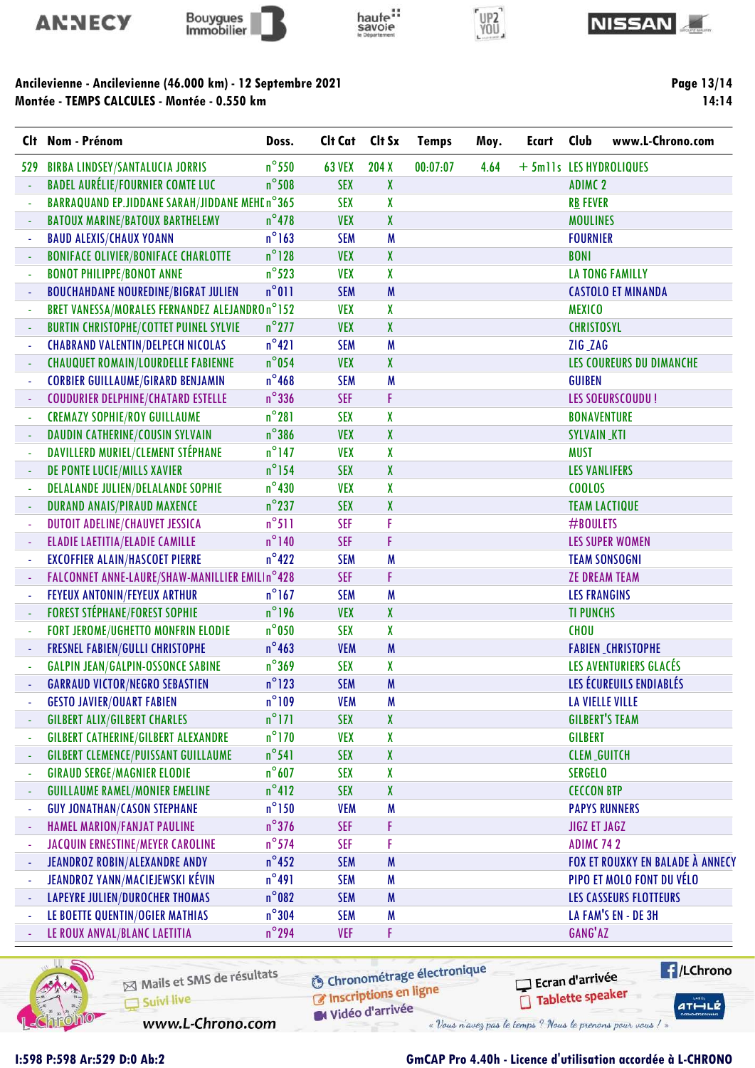







Ancilevienne - Ancilevienne (46.000 km) - 12 Septembre 2021 Montée - TEMPS CALCULES - Montée - 0.550 km

Page 13/14 14:14

|                | Clt Nom - Prénom                               | Doss.           | Clt Cat       | Clt Sx | <b>Temps</b> | Moy. | <b>Ecart</b>            | Club                 | www.L-Chrono.com                        |
|----------------|------------------------------------------------|-----------------|---------------|--------|--------------|------|-------------------------|----------------------|-----------------------------------------|
| 529            | <b>BIRBA LINDSEY/SANTALUCIA JORRIS</b>         | $n^{\circ}$ 550 | <b>63 VEX</b> | 204 X  | 00:07:07     | 4.64 | + 5mlls LES HYDROLIQUES |                      |                                         |
|                | <b>BADEL AURÉLIE/FOURNIER COMTE LUC</b>        | $n^{\circ}$ 508 | <b>SEX</b>    | X      |              |      |                         | <b>ADIMC 2</b>       |                                         |
|                | BARRAQUAND EP.JIDDANE SARAH/JIDDANE MEHEn°365  |                 | <b>SEX</b>    | X      |              |      |                         | <b>RB FEVER</b>      |                                         |
|                | <b>BATOUX MARINE/BATOUX BARTHELEMY</b>         | $n^{\circ}$ 478 | <b>VEX</b>    | X      |              |      |                         | <b>MOULINES</b>      |                                         |
| ä,             | <b>BAUD ALEXIS/CHAUX YOANN</b>                 | $n^{\circ}$ 163 | <b>SEM</b>    | M      |              |      |                         | <b>FOURNIER</b>      |                                         |
| ÷              | <b>BONIFACE OLIVIER/BONIFACE CHARLOTTE</b>     | $n^{\circ}128$  | <b>VEX</b>    | X      |              |      |                         | <b>BONI</b>          |                                         |
| ÷              | <b>BONOT PHILIPPE/BONOT ANNE</b>               | $n^{\circ}$ 523 | <b>VEX</b>    | X      |              |      |                         |                      | <b>LA TONG FAMILLY</b>                  |
| ä              | <b>BOUCHAHDANE NOUREDINE/BIGRAT JULIEN</b>     | $n^{\circ}011$  | <b>SEM</b>    | M      |              |      |                         |                      | <b>CASTOLO ET MINANDA</b>               |
|                | BRET VANESSA/MORALES FERNANDEZ ALEJANDROn°152  |                 | <b>VEX</b>    | χ      |              |      |                         | <b>MEXICO</b>        |                                         |
|                | <b>BURTIN CHRISTOPHE/COTTET PUINEL SYLVIE</b>  | $n^{\circ}$ 277 | <b>VEX</b>    | X      |              |      |                         | <b>CHRISTOSYL</b>    |                                         |
| ÷              | <b>CHABRAND VALENTIN/DELPECH NICOLAS</b>       | $n^{\circ}421$  | <b>SEM</b>    | M      |              |      |                         | ZIG_ZAG              |                                         |
|                | <b>CHAUQUET ROMAIN/LOURDELLE FABIENNE</b>      | $n^{\circ}$ 054 | <b>VEX</b>    | X      |              |      |                         |                      | LES COUREURS DU DIMANCHE                |
| ä,             | <b>CORBIER GUILLAUME/GIRARD BENJAMIN</b>       | $n^{\circ}$ 468 | <b>SEM</b>    | M      |              |      |                         | <b>GUIBEN</b>        |                                         |
|                | <b>COUDURIER DELPHINE/CHATARD ESTELLE</b>      | $n^{\circ}$ 336 | <b>SEF</b>    | F      |              |      |                         |                      | <b>LES SOEURSCOUDU!</b>                 |
|                | <b>CREMAZY SOPHIE/ROY GUILLAUME</b>            | $n^{\circ}281$  | <b>SEX</b>    | X      |              |      |                         | <b>BONAVENTURE</b>   |                                         |
| ÷              | DAUDIN CATHERINE/COUSIN SYLVAIN                | $n^{\circ}386$  | <b>VEX</b>    | X      |              |      |                         | <b>SYLVAIN_KTI</b>   |                                         |
| ÷              | DAVILLERD MURIEL/CLEMENT STÉPHANE              | $n^{\circ}$ 147 | <b>VEX</b>    | X      |              |      |                         | <b>MUST</b>          |                                         |
|                | DE PONTE LUCIE/MILLS XAVIER                    | $n^{\circ}$ 154 | <b>SEX</b>    | X      |              |      |                         | <b>LES VANLIFERS</b> |                                         |
|                | <b>DELALANDE JULIEN/DELALANDE SOPHIE</b>       | $n^{\circ}$ 430 | <b>VEX</b>    | X      |              |      |                         | <b>COOLOS</b>        |                                         |
|                | <b>DURAND ANAIS/PIRAUD MAXENCE</b>             | $n^{\circ}$ 237 | <b>SEX</b>    | X      |              |      |                         |                      | <b>TEAM LACTIQUE</b>                    |
|                | DUTOIT ADELINE/CHAUVET JESSICA                 | $n^{\circ}511$  | <b>SEF</b>    | F      |              |      |                         | #BOULETS             |                                         |
| ÷              | <b>ELADIE LAETITIA/ELADIE CAMILLE</b>          | $n^{\circ}$ 140 | <b>SEF</b>    | F      |              |      |                         |                      | <b>LES SUPER WOMEN</b>                  |
| ä,             | <b>EXCOFFIER ALAIN/HASCOET PIERRE</b>          | $n^{\circ}422$  | <b>SEM</b>    | M      |              |      |                         |                      | <b>TEAM SONSOGNI</b>                    |
|                | FALCONNET ANNE-LAURE/SHAW-MANILLIER EMILIn°428 |                 | <b>SEF</b>    | F      |              |      |                         |                      | <b>ZE DREAM TEAM</b>                    |
| ÷              | FEYEUX ANTONIN/FEYEUX ARTHUR                   | $n^{\circ}$ 167 | <b>SEM</b>    | M      |              |      |                         | <b>LES FRANGINS</b>  |                                         |
| $\blacksquare$ | <b>FOREST STÉPHANE/FOREST SOPHIE</b>           | $n^{\circ}$ 196 | <b>VEX</b>    | X      |              |      |                         | <b>TI PUNCHS</b>     |                                         |
| ÷,             | FORT JEROME/UGHETTO MONFRIN ELODIE             | $n^{\circ}$ 050 | <b>SEX</b>    | X      |              |      |                         | <b>CHOU</b>          |                                         |
| ÷,             | <b>FRESNEL FABIEN/GULLI CHRISTOPHE</b>         | $n^{\circ}463$  | <b>VEM</b>    | M      |              |      |                         |                      | <b>FABIEN_CHRISTOPHE</b>                |
|                | <b>GALPIN JEAN/GALPIN-OSSONCE SABINE</b>       | $n^{\circ}$ 369 | <b>SEX</b>    | X      |              |      |                         |                      | LES AVENTURIERS GLACÉS                  |
|                | <b>GARRAUD VICTOR/NEGRO SEBASTIEN</b>          | $n^{\circ}$ 123 | <b>SEM</b>    | M      |              |      |                         |                      | LES ÉCUREUILS ENDIABLÉS                 |
|                | <b>GESTO JAVIER/OUART FABIEN</b>               | $n^{\circ}109$  | <b>VEM</b>    | M      |              |      |                         |                      | <b>LA VIELLE VILLE</b>                  |
|                | <b>GILBERT ALIX/GILBERT CHARLES</b>            | $n^{\circ}$ 171 | <b>SEX</b>    | X      |              |      |                         |                      | <b>GILBERT'S TEAM</b>                   |
| ÷              | <b>GILBERT CATHERINE/GILBERT ALEXANDRE</b>     | $n^{\circ}$ 170 | <b>VEX</b>    | X      |              |      |                         | <b>GILBERT</b>       |                                         |
| ÷              | <b>GILBERT CLEMENCE/PUISSANT GUILLAUME</b>     | $n^{\circ}$ 541 | <b>SEX</b>    | χ      |              |      |                         | <b>CLEM_GUITCH</b>   |                                         |
| Ĭ.             | <b>GIRAUD SERGE/MAGNIER ELODIE</b>             | $n^{\circ}$ 607 | <b>SEX</b>    | X      |              |      |                         | <b>SERGELO</b>       |                                         |
|                | <b>GUILLAUME RAMEL/MONIER EMELINE</b>          | $n^{\circ}412$  | <b>SEX</b>    | X      |              |      |                         | <b>CECCON BTP</b>    |                                         |
| ä,             | <b>GUY JONATHAN/CASON STEPHANE</b>             | $n^{\circ}$ 150 | <b>VEM</b>    | M      |              |      |                         |                      | <b>PAPYS RUNNERS</b>                    |
| $\blacksquare$ | <b>HAMEL MARION/FANJAT PAULINE</b>             | $n^{\circ}$ 376 | <b>SEF</b>    | F      |              |      |                         | <b>JIGZ ET JAGZ</b>  |                                         |
| ÷              | JACQUIN ERNESTINE/MEYER CAROLINE               | $n^{\circ}$ 574 | <b>SEF</b>    | F      |              |      |                         | <b>ADIMC 742</b>     |                                         |
| ÷              | <b>JEANDROZ ROBIN/ALEXANDRE ANDY</b>           | $n^{\circ}$ 452 | <b>SEM</b>    | M      |              |      |                         |                      | <b>FOX ET ROUXKY EN BALADE À ANNECY</b> |
| Ĭ.             | <b>JEANDROZ YANN/MACIEJEWSKI KÉVIN</b>         | $n^{\circ}$ 491 | <b>SEM</b>    | M      |              |      |                         |                      | PIPO ET MOLO FONT DU VÉLO               |
| $\blacksquare$ | <b>LAPEYRE JULIEN/DUROCHER THOMAS</b>          | $n^{\circ}082$  | <b>SEM</b>    | M      |              |      |                         |                      | <b>LES CASSEURS FLOTTEURS</b>           |
| ÷              | LE BOETTE QUENTIN/OGIER MATHIAS                | $n^{\circ}$ 304 | <b>SEM</b>    | M      |              |      |                         |                      | LA FAM'S EN - DE 3H                     |
| ÷              | LE ROUX ANVAL/BLANC LAETITIA                   | $n^{\circ}$ 294 | <b>VEF</b>    | F      |              |      |                         | GANG'AZ              |                                         |



Mails et SMS de résultats Suivi live

**6** Chronométrage électronique

C Inscriptions en ligne Widéo d'arrivée

www.L-Chrono.com

« Vous n'avez pas le temps ? Nous le prenons pour vous / »

## I:598 P:598 Ar:529 D:0 Ab:2 GmCAP Pro 4.40h - Licence d'utilisation accordée à L-CHRONO

Ecran d'arrivée

Tablette speaker

**E** /LChrono